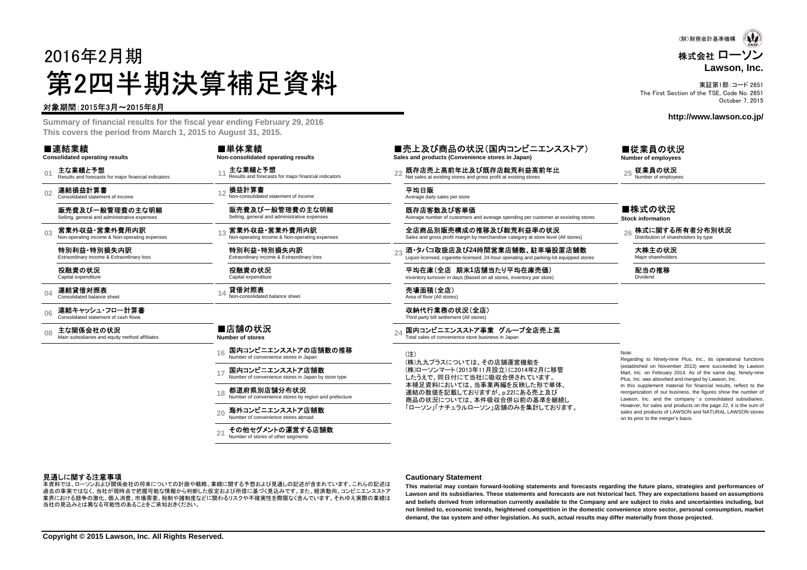# 2016年2月期第2四半期決算補足資料

### 対象期間:2015年3月~2015年8月

 **Summary of financial results for the fiscal year ending February 29, 2016This covers the period from March 1, 2015 to August 31, 2015.**

#### ■連結業績

**Consolidated operating results**

**01**主な業績と予想<br>Results and forecasts for major financial indicators

**02**連結損益計算書 Consolidated statement of income

> 販売費及び一般管理費の主な明細Selling, general and administrative expenses

**03**営業外収益・営業外費用内訳<br>Non-operating income & Non-operating expenses

特別利益・特別損失内訳Extraordinary income & Extraordinary loss

投融資の状況Capital expenditure

**04**連結貸借対照表 Consolidated balance sheet

**06**連結キャッシュ・フロー計算書 Consolidated statement of cash flows

**08**主な関係会社の状況<br>Main subsidiaries and equity method affiliates

■店舗の状況 **Number of stores**

**16**国内コンビニエンスストアの店舗数の推移<br>Number of convenience stores in Japan

**17**国内コンビニエンスストア店舗数<br>Number of convenience stores in Japan by store type

#### **18都道府県別店舗分布状況**<br>Number of convenience stores by region and prefecture

特別利益・特別損失内訳Extraordinary income & Extraordinary loss

Non-consolidated balance sheet

**Non-consolidated operating results**

Non-consolidated statement of income販売費及び一般管理費の主な明細Selling, general and administrative expenses

Results and forecasts for major financial indicators

主な業績と予想

損益計算書

投融資の状況Capital expenditure

貸借対照表

■単体業績

**20**海外コンビニエンスストア店舗数<br>Number of convenience stores abroad

**21**その他セグメントの運営する店舗数Number of stores of other segments

■売上及び商品の状況(国内コンビニエンスストア) **Sales and products (Convenience stores in Japan)**

**<sup>11</sup> <sup>22</sup>** 既存店売上高前年比及び既存店総荒利益高前年比 Net sales at existing stores and gross profit at existing stores **<sup>25</sup>** 従業員の状況 Number of employees

### **<sup>12</sup>** 平均日販 Average daily sales per store

既存店客数及び客単価Average number of customers and average spending per customer at exsisting stores

営業外収益・営業外費用内訳 全店商品別販売構成の推移及び総荒利益率の状況 26 株式に関する所有者分布別状況<br>Non-operating income & Non-operating expenses Sales and gross profit margin by merchandise category at store level (All stores)

酒•タバコ取扱店及び24時間営業店舗数、駐車場設置店舗数<br>Liquor-licensed, cigarette-licensed, 24-hour operating and parking-lot equipped stores

平均在庫(全店 期末**1**店舗当たり平均在庫売価)Inventory turnover in days (Based on all stores, inventory per store)

14 **貸借対照表**<br>14 Non-consolidated balance sheet Area of floor (All stores)

収納代行業務の状況(全店) Third party bill settlement (All stores)

24 国内コンビニエンスストア事業 グループ全店売上高<br>Total sales of convenience store business in Japan

(注) (株)九九プラスについては、その店舗運営機能を(株)ローソンマート(2013年11月設立)に2014年2月に移管

したうえで、同日付にて当社に吸収合併されています。 本補足資料においては、当事業再編を反映した形で単体、連結の数値を記載しておりますが、p.22にある売上及び 商品の状況については、本件吸収合併以前の基準を継続し「ローソン」「ナチュラルローソン」店舗のみを集計しております。 Note:

 Regarding to Ninety-nine Plus, Inc., its operational functions (established on November 2013) were succeeded by Lawson Mart, Inc. on February 2014. As of the same day, Ninety-ninePlus, Inc. was absorbed and merged by Lawson, Inc. In this supplement material for financial results, reflect to the reorganization of our business, the figures show the number of Lawson, Inc. and the company 's consolidated subsidiaries. However, for sales and products on the page 22, it is the sum of sales and products of LAWSON and NATURAL LAWSON storeson its prior to the merger's basis.

#### 見通しに関する注意事項

 過去の事実ではなく、当社が現時点で把握可能な情報から判断した仮定および所信に基づく見込みです。また、経済動向、コンビニエンスストア本資料では、ローソンおよび関係会社の将来についての計画や戦略、業績に関する予想および見通しの記述が含まれています。これらの記述は 業界における競争の激化、個人消費、市場需要、税制や諸制度などに関わるリスクや不確実性を際限なく含んでいます。それゆえ実際の業績は当社の見込みとは異なる可能性のあることをご承知おきください。

#### **Cautionary Statement**

This material may contain forward-looking statements and forecasts regarding the future plans, strategies and performances of Lawson and its subsidiaries. These statements and forecasts are not historical fact. They are expectations based on assumptions and beliefs derived from information currently available to the Company and are subject to risks and uncertainties including, but not limited to, economic trends, heightened competition in the domestic convenience store sector, personal consumption, market **demand, the tax system and other legislation. As such, actual results may differ materially from those projected.**

東証第1部:コード 2651 The First Section of the TSE, Code No. 2651October 7, 2015

**http://www.lawson.co.jp/**

■従業員の状況 **Number of employees**

**Lawson, Inc.**

### ■株式の状況

**Stock information**

大株主の状況

配当の推移Dividend

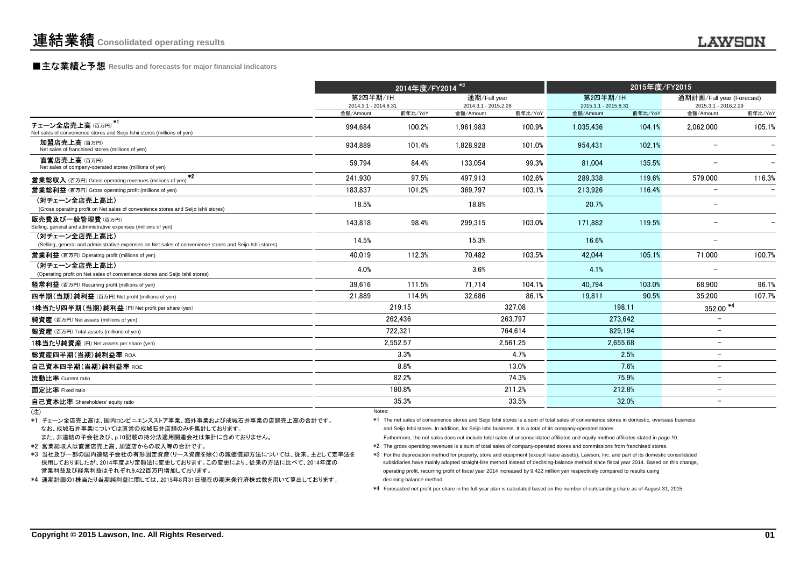## **■主な業績と予想** Results and forecasts for major financial indicators<br>
————————————————————

|                                                                                                                           |                                  | 2014年度/FY2014 <sup>*3</sup> |                                      |          |                                  | 2015年度/FY2015 |                                                   |         |
|---------------------------------------------------------------------------------------------------------------------------|----------------------------------|-----------------------------|--------------------------------------|----------|----------------------------------|---------------|---------------------------------------------------|---------|
|                                                                                                                           | 第2四半期/1H<br>2014.3.1 - 2014.8.31 |                             | 通期/Full year<br>2014.3.1 - 2015.2.28 |          | 第2四半期/1H<br>2015.3.1 - 2015.8.31 |               | 通期計画/Full year (Forecast)<br>2015.3.1 - 2016.2.29 |         |
|                                                                                                                           | 金額/Amount                        | 前年比/YoY                     | 金額/Amount                            | 前年比/YoY  | 金額/Amount                        | 前年比/YoY       | 金額/Amount                                         | 前年比/YoY |
| チェーン全店売上高(百万円) <sup>*1</sup><br>Net sales of convenience stores and Seijo Ishii stores (millions of yen)                  | 994,684                          | 100.2%                      | 1,961,983                            | 100.9%   | 1.035.436                        | 104.1%        | 2,062,000                                         | 105.1%  |
| 加盟店売上高(百万円)<br>Net sales of franchised stores (millions of yen)                                                           | 934.889                          | 101.4%                      | 1.828.928                            | 101.0%   | 954.431                          | 102.1%        |                                                   |         |
| 直営店売上高(百万円)<br>Net sales of company-operated stores (millions of yen)                                                     | 59.794                           | 84.4%                       | 133,054                              | 99.3%    | 81.004                           | 135.5%        |                                                   |         |
| $*2$<br><b>営業総収入</b> (百万円) Gross operating revenues (millions of yen)                                                     | 241.930                          | 97.5%                       | 497.913                              | 102.6%   | 289.338                          | 119.6%        | 579.000                                           | 116.3%  |
| <b>営業総利益</b> (百万円) Gross operating profit (millions of yen)                                                               | 183.837                          | 101.2%                      | 369.797                              | 103.1%   | 213.926                          | 116.4%        |                                                   |         |
| (対チェーン全店売上高比)<br>(Gross operating profit on Net sales of convenience stores and Seijo Ishii stores)                       | 18.5%                            |                             | 18.8%                                |          | 20.7%                            |               | $\overline{\phantom{m}}$                          |         |
| 販売費及び一般管理費(百万円)<br>Selling, general and administrative expenses (millions of yen)                                         | 143,818                          | 98.4%                       | 299,315                              | 103.0%   | 171,882                          | 119.5%        |                                                   |         |
| (対チェーン全店売上高比)<br>(Selling, general and administrative expenses on Net sales of convenience stores and Seijo Ishii stores) | 14.5%                            |                             | 15.3%                                |          | 16.6%                            |               |                                                   |         |
| <b>営業利益</b> (百万円) Operating profit (millions of yen)                                                                      | 40.019                           | 112.3%                      | 70.482                               | 103.5%   | 42.044                           | 105.1%        | 71.000                                            | 100.7%  |
| (対チェーン全店売上高比)<br>(Operating profit on Net sales of convenience stores and Seijo Ishii stores)                             | 4.0%                             |                             | 3.6%                                 |          | 4.1%                             |               |                                                   |         |
| 経常利益 (百万円) Recurring profit (millions of yen)                                                                             | 39.616                           | 111.5%                      | 71.714                               | 104.1%   | 40.794                           | 103.0%        | 68.900                                            | 96.1%   |
| 四半期(当期)純利益 (百万円) Net profit (millions of yen)                                                                             | 21.889                           | 114.9%                      | 32.686                               | 86.1%    | 19.811                           | 90.5%         | 35.200                                            | 107.7%  |
| 1株当たり四半期(当期)純利益(円)Net profit per share (yen)                                                                              |                                  | 219.15                      |                                      | 327.08   | 198.11                           |               | $352.00$ <sup>*4</sup>                            |         |
| 純資産 (百万円) Net assets (millions of yen)                                                                                    |                                  | 262.436                     |                                      | 263.797  |                                  | 273,642       | $\overline{\phantom{0}}$                          |         |
| 総資産 (百万円) Total assets (millions of yen)                                                                                  |                                  | 722.321                     |                                      | 764.614  | 829.194                          |               | $-$                                               |         |
| 1株当たり純資産 (円) Net assets per share (ven)                                                                                   |                                  | 2.552.57                    |                                      | 2.561.25 |                                  | 2.655.68      | $\overline{\phantom{0}}$                          |         |
| 総資産四半期(当期)純利益率 ROA                                                                                                        |                                  | 3.3%                        |                                      | 4.7%     |                                  | 2.5%          | $\overline{\phantom{0}}$                          |         |
| 自己資本四半期(当期)純利益率 ROE                                                                                                       |                                  | 8.8%                        |                                      | 13.0%    |                                  | 7.6%          | $\overline{\phantom{0}}$                          |         |
| 流動比率 Current ratio                                                                                                        |                                  | 82.2%                       |                                      | 74.3%    |                                  | 75.9%         | $\overline{\phantom{0}}$                          |         |
| 固定比率 Fixed ratio                                                                                                          |                                  | 180.8%                      |                                      | 211.2%   |                                  | 212.8%        | $\overline{\phantom{0}}$                          |         |
| 自己資本比率 Shareholders' equity ratio                                                                                         |                                  | 35.3%                       |                                      | 33.5%    |                                  | 32.0%         | $\overline{\phantom{0}}$                          |         |
|                                                                                                                           | Notes:                           |                             |                                      |          |                                  |               |                                                   |         |

(注)

なお、成城石井事業については直営の成城石井店舗のみを集計しております。\*1 チェーン全店売上高は、国内コンビニエンスストア事業、海外事業および成城石井事業の店舗売上高の合計です。

また、非連結の子会社及び、p.10記載の持分法適用関連会社は集計に含めておりません。

\*2 営業総収入は直営店売上高、加盟店からの収入等の合計です。

\*3 当社及び一部の国内連結子会社の有形固定資産(リース資産を除く)の減価償却方法については、従来、主として定率法を 採用しておりましたが、2014年度より定額法に変更しております。この変更により、従来の方法に比べて、2014年度の営業利益及び経常利益はそれぞれ9,422百万円増加しております。

\*4 通期計画の1株当たり当期純利益に関しては、2015年8月31日現在の期末発行済株式数を用いて算出しております。

Notes:  $\blacksquare$ )

and Seijo Ishii stores. In addition, for Seijo Ishii business, It is a total of its company-operated stores. \*1 The net sales of convenience stores and Seijo Ishii stores is a sum of total sales of convenience stores in domestic, overseas business

Futhermore, the net sales does not include total sales of unconsolidated affiliates and equity method affiliates stated in page 10.

\*2 The gross operating revenues is a sum of total sales of company-operated stores and commissions from franchised stores.

\*3 For the depreciation method for property, store and equipment (except lease assets), Lawson, Inc. and part of its domestic consolidated subsidiaries have mainly adopted straight-line method instead of declining-balance method since fiscal year 2014. Based on this change,operating profit, recurring profit of fiscal year 2014 increased by 9,422 million yen respectively compared to results usingdeclining-balance method.

\*4 Forecasted net profit per share in the full-year plan is calculated based on the number of outstanding share as of August 31, 2015.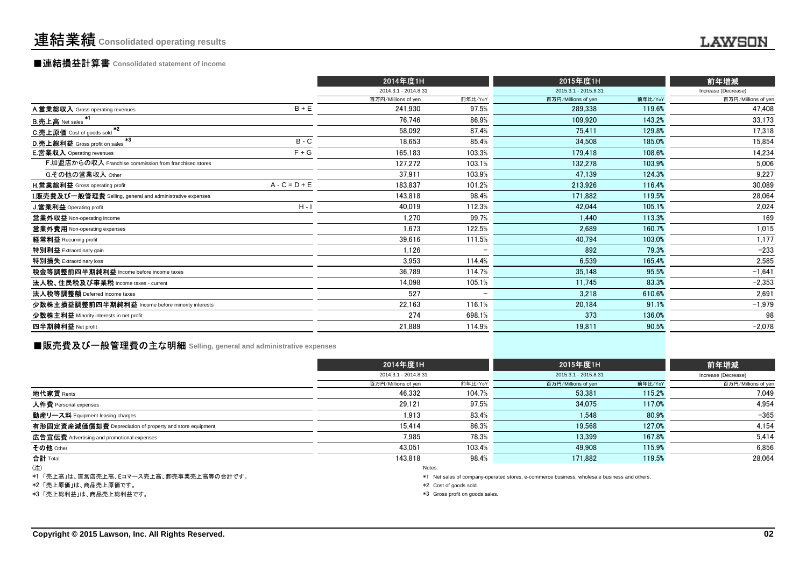## ■連結損益計算書 **Consolidated statement of income**

|                                                                  |                 | 2014年度1H             |                          | 2015年度1H             |         | 前年増減                |
|------------------------------------------------------------------|-----------------|----------------------|--------------------------|----------------------|---------|---------------------|
|                                                                  |                 | 2014.3.1 - 2014.8.31 |                          | 2015.3.1 - 2015.8.31 |         | Increase (Decrease) |
|                                                                  |                 | 百万円/Millions of yen  | 前年比/YoY                  | 百万円/Millions of yen  | 前年比/YoY | 百万円/Millions of yen |
| A.営業総収入 Gross operating revenues                                 | $B + E$         | 241.930              | 97.5%                    | 289,338              | 119.6%  | 47,408              |
| $+1$<br><b>B.売上高</b> Net sales                                   |                 | 76.746               | 86.9%                    | 109.920              | 143.2%  | 33,173              |
| $*2$<br>C.売上原価 Cost of goods sold                                |                 | 58.092               | 87.4%                    | 75.411               | 129.8%  | 17,318              |
| $*3$<br>D.売上総利益 Gross profit on sales                            | $B - C$         | 18,653               | 85.4%                    | 34,508               | 185.0%  | 15,854              |
| <b>E.営業収入</b> Operating revenues                                 | $F + G$         | 165.183              | 103.3%                   | 179.418              | 108.6%  | 14,234              |
| F.加盟店からの収入 Franchise commission from franchised stores           |                 | 127,272              | 103.1%                   | 132,278              | 103.9%  | 5,006               |
| G.その他の営業収入 Other                                                 |                 | 37.911               | 103.9%                   | 47.139               | 124.3%  | 9,227               |
| <b>H.営業総利益</b> Gross operating profit                            | $A - C = D + E$ | 183.837              | 101.2%                   | 213,926              | 116.4%  | 30,089              |
| <b>I.販売費及び一般管理費</b> Selling, general and administrative expenses |                 | 143.818              | 98.4%                    | 171.882              | 119.5%  | 28,064              |
| J.営業利益 Operating profit                                          | $H - I$         | 40.019               | 112.3%                   | 42.044               | 105.1%  | 2,024               |
| 営業外収益 Non-operating income                                       |                 | 1.270                | 99.7%                    | 1.440                | 113.3%  | 169                 |
| 営業外費用 Non-operating expenses                                     |                 | 1,673                | 122.5%                   | 2,689                | 160.7%  | 1,015               |
| 経常利益 Recurring profit                                            |                 | 39,616               | 111.5%                   | 40,794               | 103.0%  | 1,177               |
| 特別利益 Extraordinary gain                                          |                 | 1.126                |                          | 892                  | 79.3%   | $-233$              |
| 特別損失 Extraordinary loss                                          |                 | 3,953                | 114.4%                   | 6,539                | 165.4%  | 2,585               |
| 税金等調整前四半期純利益 Income before income taxes                          |                 | 36.789               | 114.7%                   | 35.148               | 95.5%   | $-1,641$            |
| 法人税、住民税及び事業税 Income taxes - current                              |                 | 14,098               | 105.1%                   | 11,745               | 83.3%   | $-2,353$            |
| 法人税等調整額 Deferred income taxes                                    |                 | 527                  | $\overline{\phantom{0}}$ | 3.218                | 610.6%  | 2,691               |
| 少数株主損益調整前四半期純利益 Income before minority interests                 |                 | 22,163               | 116.1%                   | 20,184               | 91.1%   | $-1,979$            |
| 少数株主利益 Minority interests in net profit                          |                 | 274                  | 698.1%                   | 373                  | 136.0%  | 98                  |
| 四半期純利益 Net profit                                                |                 | 21,889               | 114.9%                   | 19,811               | 90.5%   | $-2,078$            |
|                                                                  |                 |                      |                          |                      |         |                     |

**■販売費及び一般管理費の主な明細** Selling, general and administrative expenses<br>→

|                                                          |                      | 2014年度1H |                      | 2015年度1H |                     |
|----------------------------------------------------------|----------------------|----------|----------------------|----------|---------------------|
|                                                          | 2014.3.1 - 2014.8.31 |          | 2015.3.1 - 2015.8.31 |          | Increase (Decrease) |
|                                                          | 百万円/Millions of yen  | 前年比/YoY  | 百万円/Millions of yen  | 前年比/YoY  | 百万円/Millions of yen |
| 地代家賃 Rents                                               | 46.332               | 104.7%   | 53.381               | 115.2%   | 7.049               |
| 人件費 Personal expenses                                    | 29,121               | 97.5%    | 34,075               | 117.0%   | 4,954               |
| 動産リース料 Equipment leasing charges                         | 1,913                | 83.4%    | 1,548                | 80.9%    | $-365$              |
| 有形固定資産減価償却費 Depreciation of property and store equipment | 15.414               | 86.3%    | 19.568               | 127.0%   | 4,154               |
| 広告宣伝費 Advertising and promotional expenses               | 7,985                | 78.3%    | 13.399               | 167.8%   | 5,414               |
| その他 Other                                                | 43.051               | 103.4%   | 49.908               | 115.9%   | 6,856               |
| 合計 Total                                                 | 143.818              | 98.4%    | 171.882              | 119.5%   | 28.064              |
| (注)                                                      |                      | Notes:   |                      |          |                     |

\*1 「売上高」は、直営店売上高、Eコマース売上高、卸売事業売上高等の合計です。

\*2 「売上原価」は、商品売上原価です。

\*3 「売上総利益」は、商品売上総利益です。

\*1 Net sales of company-operated stores, e-commerce business, wholesale business and others.

\*2 Cost of goods sold.

\*3 Gross profit on goods sales.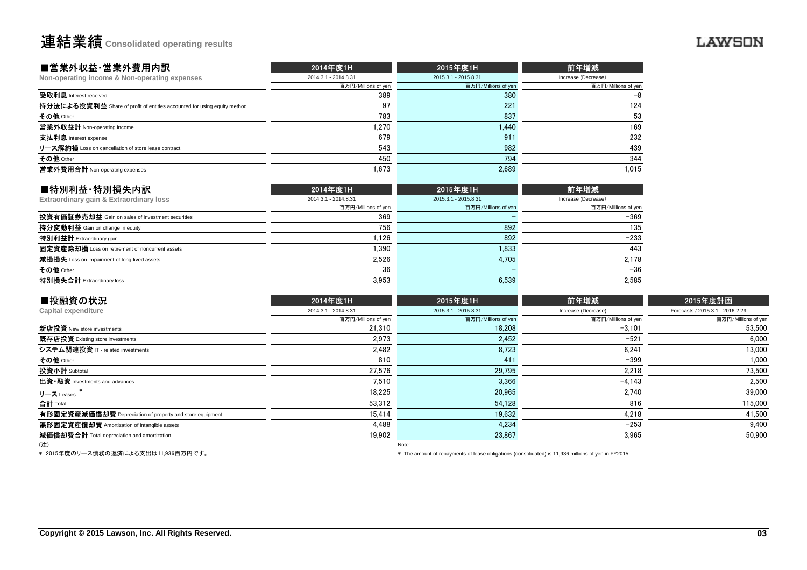| ■営業外収益·営業外費用内訳                                                           | 2014年度1H             | 2015年度1H             | 前年増減                |
|--------------------------------------------------------------------------|----------------------|----------------------|---------------------|
| Non-operating income & Non-operating expenses                            | 2014.3.1 - 2014.8.31 | 2015.3.1 - 2015.8.31 | Increase (Decrease) |
|                                                                          | 百万円/Millions of yen  | 百万円/Millions of yen  | 百万円/Millions of yer |
| 受取利息 Interest received                                                   | 389                  | 380                  | -8                  |
| 持分法による投資利益 Share of profit of entities accounted for using equity method | 97                   | 221                  | 124                 |
| その他 Other                                                                | 783                  | 837                  | 53                  |
| 営業外収益計 Non-operating income                                              | 1.270                | 1,440                | 169                 |
| 支払利息 Interest expense                                                    | 679                  | 911                  | 232                 |
| リース解約損 Loss on cancellation of store lease contract                      | 543                  | 982                  | 439                 |
| その他 Other                                                                | 450                  | 794                  | 344                 |
| 営業外費用合計 Non-operating expenses                                           | 1.673                | 2.689                | 1.015               |
|                                                                          |                      |                      |                     |

| ■特別利益·特別損失内訳                                     | 2014年度1H             | 2015年度1H             | 前年増減                |
|--------------------------------------------------|----------------------|----------------------|---------------------|
| Extraordinary gain & Extraordinary loss          | 2014.3.1 - 2014.8.31 | 2015.3.1 - 2015.8.31 | Increase (Decrease) |
|                                                  | 百万円/Millions of yen  | 百万円/Millions of yen  | 百万円/Millions of yen |
| 投資有価証券売却益 Gain on sales of investment securities | 369                  |                      | $-369$              |
| 持分変動利益 Gain on change in equity                  | 756                  | 892                  | 135                 |
| 特別利益計 Extraordinary gain                         | 1.126                | 892                  | $-233$              |
| 固定資産除却損 Loss on retirement of noncurrent assets  | 1.390                | 1.833                | 443                 |
| 減損損失 Loss on impairment of long-lived assets     | 2,526                | 4.705                | 2.178               |
| その他 Other                                        | 36                   |                      | $-36$               |
| 特別損失合計 Extraordinary loss                        | 3.953                | 6.539                | 2.585               |

| ■投融資の状況                                                  | 2014年度1H             | 2015年度1H             | 前年増減                | 2015年度計画                         |
|----------------------------------------------------------|----------------------|----------------------|---------------------|----------------------------------|
| Capital expenditure                                      | 2014.3.1 - 2014.8.31 | 2015.3.1 - 2015.8.31 | Increase (Decrease) | Forecasts / 2015.3.1 - 2016.2.29 |
|                                                          | 百万円/Millions of yen  | 百万円/Millions of yen  | 百万円/Millions of yen | 百万円/Millions of yen              |
| 新店投資 New store investments                               | 21.310               | 18.208               | $-3.101$            | 53,500                           |
| 既存店投資 Existing store investments                         | 2.973                | 2.452                | $-521$              | 6.000                            |
| システム関連投資 IT - related investments                        | 2,482                | 8,723                | 6,241               | 13,000                           |
| その他 Other                                                | 810                  | 411                  | $-399$              | 1,000                            |
| 投資小計 Subtotal                                            | 27.576               | 29.795               | 2.218               | 73,500                           |
| 出資·融資 Investments and advances                           | 7.510                | 3.366                | $-4.143$            | 2,500                            |
| リース Leases                                               | 18,225               | 20,965               | 2,740               | 39,000                           |
| 合計 Total                                                 | 53.312               | 54.128               | 816                 | 115,000                          |
| 有形固定資産減価償却費 Depreciation of property and store equipment | 15.414               | 19.632               | 4,218               | 41,500                           |
| 無形固定資産償却費 Amortization of intangible assets              | 4.488                | 4.234                | $-253$              | 9,400                            |
| 減価償却費合計 Total depreciation and amortization              | 19,902               | 23,867               | 3,965               | 50,900                           |
| (注)                                                      |                      | Note:                |                     |                                  |

(注)Note:

\* 2015年度のリース債務の返済による支出は11,936百万円です。

\* The amount of repayments of lease obligations (consolidated) is 11,936 millions of yen in FY2015.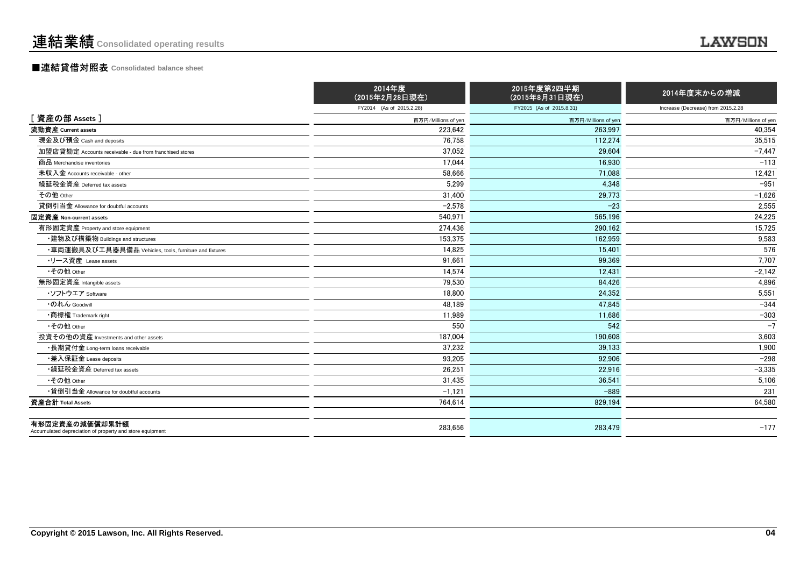### ■連結貸借対照表 **Consolidated balance sheet**

|                                                                            | 2014年度<br>(2015年2月28日現在) | 2015年度第2四半期<br>(2015年8月31日現在) | 2014年度末からの増減                       |
|----------------------------------------------------------------------------|--------------------------|-------------------------------|------------------------------------|
|                                                                            | FY2014 (As of 2015.2.28) | FY2015 (As of 2015.8.31)      | Increase (Decrease) from 2015.2.28 |
| [資産の部 Assets]                                                              | 百万円/Millions of yen      | 百万円/Millions of yen           | 百万円/Millions of yen                |
| 流動資産 Current assets                                                        | 223,642                  | 263.997                       | 40,354                             |
| 現金及び預金 Cash and deposits                                                   | 76.758                   | 112.274                       | 35,515                             |
| 加盟店貸勘定 Accounts receivable - due from franchised stores                    | 37.052                   | 29.604                        | $-7.447$                           |
| 商品 Merchandise inventories                                                 | 17,044                   | 16.930                        | $-113$                             |
| 未収入金 Accounts receivable - other                                           | 58.666                   | 71.088                        | 12,421                             |
| 繰延税金資産 Deferred tax assets                                                 | 5,299                    | 4.348                         | $-951$                             |
| その他 Other                                                                  | 31,400                   | 29,773                        | $-1,626$                           |
| 貸倒引当金 Allowance for doubtful accounts                                      | $-2,578$                 | $-23$                         | 2,555                              |
| 固定資産 Non-current assets                                                    | 540.971                  | 565.196                       | 24.225                             |
| 有形固定資産 Property and store equipment                                        | 274,436                  | 290,162                       | 15,725                             |
| ・建物及び構築物 Buildings and structures                                          | 153,375                  | 162,959                       | 9,583                              |
| ・車両運搬具及び工具器具備品 Vehicles, tools, furniture and fixtures                     | 14.825                   | 15.401                        | 576                                |
| ・リース資産 Lease assets                                                        | 91.661                   | 99.369                        | 7,707                              |
| •その他 Other                                                                 | 14,574                   | 12.431                        | $-2,142$                           |
| 無形固定資産 Intangible assets                                                   | 79,530                   | 84.426                        | 4.896                              |
| ・ソフトウエア Software                                                           | 18.800                   | 24.352                        | 5,551                              |
| ・のれん Goodwill                                                              | 48,189                   | 47.845                        | $-344$                             |
| •商標権 Trademark right                                                       | 11,989                   | 11,686                        | $-303$                             |
| •その他 Other                                                                 | 550                      | 542                           | $-7$                               |
| 投資その他の資産 Investments and other assets                                      | 187,004                  | 190,608                       | 3,603                              |
| ・長期貸付金 Long-term loans receivable                                          | 37.232                   | 39.133                        | 1,900                              |
| ・差入保証金 Lease deposits                                                      | 93.205                   | 92.906                        | $-298$                             |
| •繰延税金資産 Deferred tax assets                                                | 26.251                   | 22.916                        | $-3,335$                           |
| •その他 Other                                                                 | 31,435                   | 36.541                        | 5,106                              |
| •貸倒引当金 Allowance for doubtful accounts                                     | $-1,121$                 | $-889$                        | 231                                |
| 資産合計 Total Assets                                                          | 764,614                  | 829,194                       | 64,580                             |
| 有形固定資産の減価償却累計額<br>Accumulated depreciation of property and store equipment | 283,656                  | 283,479                       | $-177$                             |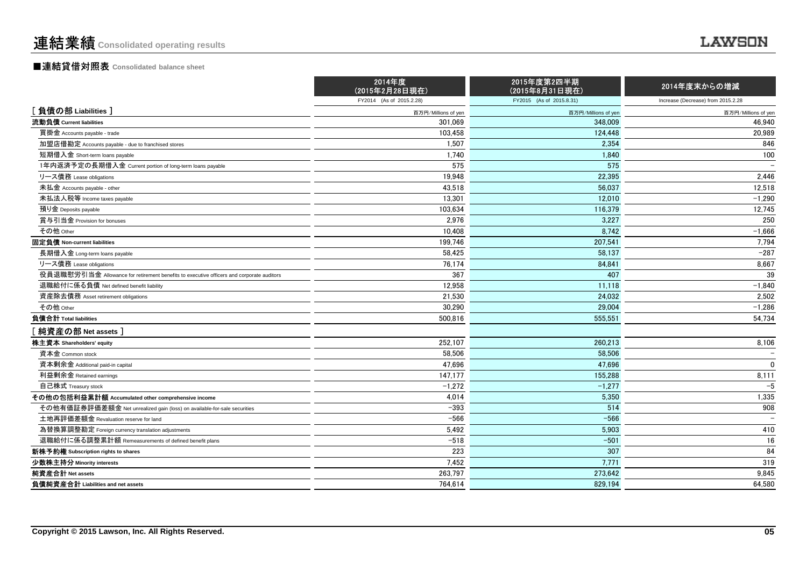### ■連結貸借対照表 **Consolidated balance sheet**

|                                                                                          | 2014年度<br>(2015年2月28日現在) | 2015年度第2四半期<br>(2015年8月31日現在) | 2014年度末からの増減                       |
|------------------------------------------------------------------------------------------|--------------------------|-------------------------------|------------------------------------|
|                                                                                          | FY2014 (As of 2015.2.28) | FY2015 (As of 2015.8.31)      | Increase (Decrease) from 2015.2.28 |
| [負債の部 Liabilities]                                                                       | 百万円/Millions of yen      | 百万円/Millions of yen           | 百万円/Millions of yen                |
| 流動負債 Current liabilities                                                                 | 301,069                  | 348,009                       | 46,940                             |
| 買掛金 Accounts payable - trade                                                             | 103,458                  | 124,448                       | 20,989                             |
| 加盟店借勘定 Accounts payable - due to franchised stores                                       | 1,507                    | 2,354                         | 846                                |
| 短期借入金 Short-term loans payable                                                           | 1,740                    | 1.840                         | 100                                |
| 1年内返済予定の長期借入金 Current portion of long-term loans payable                                 | 575                      | 575                           |                                    |
| リース債務 Lease obligations                                                                  | 19,948                   | 22,395                        | 2,446                              |
| 未払金 Accounts payable - other                                                             | 43,518                   | 56.037                        | 12,518                             |
| 未払法人税等 Income taxes payable                                                              | 13.301                   | 12.010                        | $-1.290$                           |
| 預り金 Deposits payable                                                                     | 103,634                  | 116,379                       | 12,745                             |
| 賞与引当金 Provision for bonuses                                                              | 2,976                    | 3,227                         | 250                                |
| その他 Other                                                                                | 10,408                   | 8,742                         | $-1,666$                           |
| 固定負債 Non-current liabilities                                                             | 199.746                  | 207.541                       | 7,794                              |
| 長期借入金 Long-term loans payable                                                            | 58,425                   | 58,137                        | $-287$                             |
| リース債務 Lease obligations                                                                  | 76,174                   | 84,841                        | 8,667                              |
| 役員退職慰労引当金 Allowance for retirement benefits to executive officers and corporate auditors | 367                      | 407                           | 39                                 |
| 退職給付に係る負債 Net defined benefit liability                                                  | 12,958                   | 11.118                        | $-1,840$                           |
| 資産除去債務 Asset retirement obligations                                                      | 21,530                   | 24.032                        | 2,502                              |
| その他 Other                                                                                | 30,290                   | 29,004                        | $-1,286$                           |
| 負債合計 Total liabilities                                                                   | 500,816                  | 555,551                       | 54,734                             |
| [純資産の部 Net assets]                                                                       |                          |                               |                                    |
| 株主資本 Shareholders' equity                                                                | 252,107                  | 260,213                       | 8,106                              |
| 資本金 Common stock                                                                         | 58,506                   | 58,506                        |                                    |
| 資本剰余金 Additional paid-in capital                                                         | 47,696                   | 47,696                        | $\mathbf 0$                        |
| 利益剰余金 Retained earnings                                                                  | 147,177                  | 155.288                       | 8,111                              |
| 自己株式 Treasury stock                                                                      | $-1,272$                 | $-1,277$                      | $-5$                               |
| その他の包括利益累計額 Accumulated other comprehensive income                                       | 4,014                    | 5.350                         | 1,335                              |
| その他有価証券評価差額金 Net unrealized gain (loss) on available-for-sale securities                 | $-393$                   | 514                           | 908                                |
| 土地再評価差額金 Revaluation reserve for land                                                    | $-566$                   | $-566$                        |                                    |
| 為替換算調整勘定 Foreign currency translation adjustments                                        | 5,492                    | 5,903                         | 410                                |
| 退職給付に係る調整累計額 Remeasurements of defined benefit plans                                     | $-518$                   | $-501$                        | 16                                 |
| 新株予約権 Subscription rights to shares                                                      | 223                      | 307                           | 84                                 |
| 少数株主持分 Minority interests                                                                | 7.452                    | 7.771                         | 319                                |
| 純資産合計 Net assets                                                                         | 263,797                  | 273,642                       | 9,845                              |
| 負債純資産合計 Liabilities and net assets                                                       | 764,614                  | 829,194                       | 64,580                             |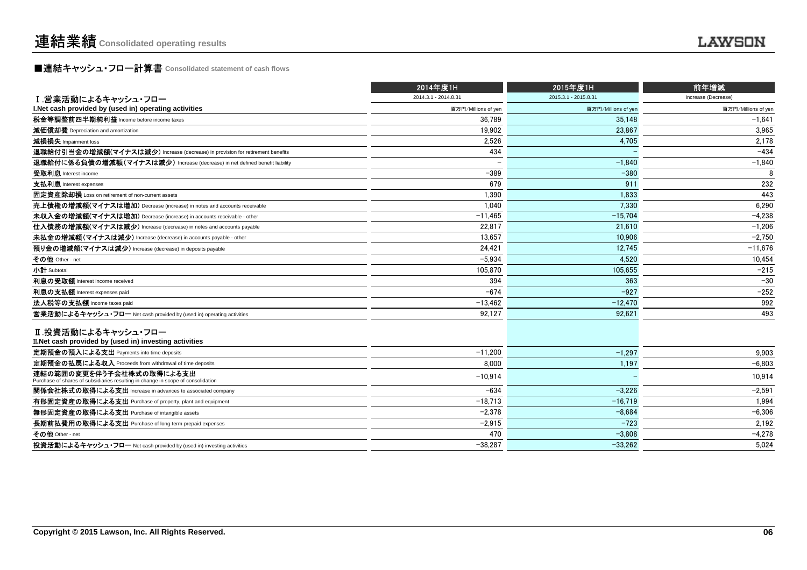## **■連結キャッシュ・フロー計算書** Consolidated statement of cash flows<br>■

|                                                                                                              | 2014年度1H             | 2015年度1H             | 前年増減                |
|--------------------------------------------------------------------------------------------------------------|----------------------|----------------------|---------------------|
| Ⅰ 営業活動によるキャッシュ・フロー                                                                                           | 2014.3.1 - 2014.8.31 | 2015.3.1 - 2015.8.31 | Increase (Decrease) |
| I. Net cash provided by (used in) operating activities                                                       | 百万円/Millions of yen  | 百万円/Millions of yen  | 百万円/Millions of yen |
| 税金等調整前四半期純利益 Income before income taxes                                                                      | 36.789               | 35.148               | $-1.641$            |
| 減価償却費 Depreciation and amortization                                                                          | 19,902               | 23,867               | 3,965               |
| 減損損失 Impairment loss                                                                                         | 2,526                | 4.705                | 2,178               |
| 退職給付引当金の増減額(マイナスは減少) Increase (decrease) in provision for retirement benefits                                | 434                  |                      | $-434$              |
| 退職給付に係る負債の増減額(マイナスは減少) Increase (decrease) in net defined benefit liability                                  |                      | $-1.840$             | $-1,840$            |
| 受取利息 Interest income                                                                                         | $-389$               | $-380$               | 8                   |
| 支払利息 Interest expenses                                                                                       | 679                  | 911                  | 232                 |
| 固定資産除却損 Loss on retirement of non-current assets                                                             | 1.390                | 1.833                | 443                 |
| 売上債権の増減額(マイナスは増加) Decrease (increase) in notes and accounts receivable                                       | 1.040                | 7.330                | 6,290               |
| 未収入金の増減額(マイナスは増加) Decrease (increase) in accounts receivable - other                                         | $-11.465$            | $-15.704$            | $-4.238$            |
| 仕入債務の増減額(マイナスは減少) Increase (decrease) in notes and accounts payable                                          | 22.817               | 21.610               | $-1,206$            |
| 未払金の増減額(マイナスは減少) Increase (decrease) in accounts payable - other                                             | 13.657               | 10.906               | $-2.750$            |
| 預り金の増減額(マイナスは減少) Increase (decrease) in deposits payable                                                     | 24,421               | 12.745               | $-11,676$           |
| その他 Other - net                                                                                              | $-5.934$             | 4.520                | 10,454              |
| 小計 Subtotal                                                                                                  | 105.870              | 105,655              | $-215$              |
| 利息の受取額 Interest income received                                                                              | 394                  | 363                  | $-30$               |
| 利息の支払額 Interest expenses paid                                                                                | $-674$               | $-927$               | $-252$              |
| 法人税等の支払額 Income taxes paid                                                                                   | $-13,462$            | $-12.470$            | 992                 |
| 営業活動によるキャッシュ・フロー Net cash provided by (used in) operating activities                                         | 92.127               | 92.621               | 493                 |
| Ⅱ.投資活動によるキャッシュ・フロー<br>II. Net cash provided by (used in) investing activities                                |                      |                      |                     |
| 定期預金の預入による支出 Payments into time deposits                                                                     | $-11.200$            | $-1,297$             | 9,903               |
| 定期預金の払戻による収入 Proceeds from withdrawal of time deposits                                                       | 8.000                | 1,197                | $-6.803$            |
| 連結の範囲の変更を伴う子会社株式の取得による支出<br>Purchase of shares of subsidiaries resulting in change in scope of consolidation | $-10.914$            |                      | 10.914              |
| 関係会社株式の取得による支出 Increase in advances to associated company                                                    | $-634$               | $-3,226$             | $-2,591$            |
| 有形固定資産の取得による支出 Purchase of property, plant and equipment                                                     | $-18.713$            | $-16.719$            | 1,994               |
| 無形固定資産の取得による支出 Purchase of intangible assets                                                                 | $-2.378$             | $-8.684$             | $-6,306$            |
| 長期前払費用の取得による支出 Purchase of long-term prepaid expenses                                                        | $-2.915$             | $-723$               | 2,192               |
| その他 Other - net                                                                                              | 470                  | $-3.808$             | $-4,278$            |
| 投資活動によるキャッシュ・フロー Net cash provided by (used in) investing activities                                         | $-38,287$            | $-33.262$            | 5,024               |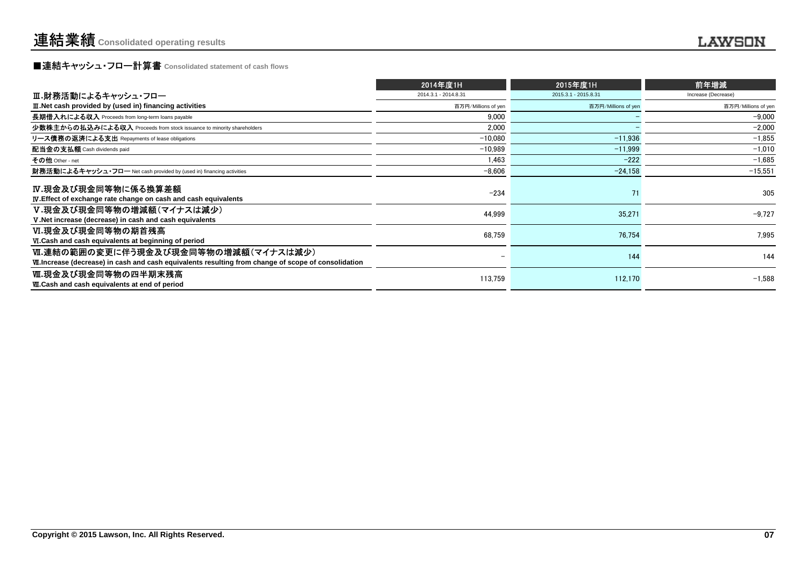## **■連結キャッシュ・フロー計算書** Consolidated statement of cash flows<br>■

|                                                                                                                                              | 2014年度1H                 | 2015年度1H             | 前年増減                |
|----------------------------------------------------------------------------------------------------------------------------------------------|--------------------------|----------------------|---------------------|
| Ⅲ.財務活動によるキャッシュ・フロー                                                                                                                           | 2014.3.1 - 2014.8.31     | 2015.3.1 - 2015.8.31 | Increase (Decrease) |
| III. Net cash provided by (used in) financing activities                                                                                     | 百万円/Millions of yen      | 百万円/Millions of yen  | 百万円/Millions of yen |
| 長期借入れによる収入 Proceeds from long-term loans payable                                                                                             | 9.000                    |                      | $-9.000$            |
| 少数株主からの払込みによる収入 Proceeds from stock issuance to minority shareholders                                                                        | 2,000                    |                      | $-2,000$            |
| リース債務の返済による支出 Repayments of lease obligations                                                                                                | $-10,080$                | $-11,936$            | $-1,855$            |
| 配当金の支払額 Cash dividends paid                                                                                                                  | $-10,989$                | $-11.999$            | $-1,010$            |
| その他 Other - net                                                                                                                              | 1,463                    | $-222$               | $-1,685$            |
| 財務活動によるキャッシュ・フロー Net cash provided by (used in) financing activities                                                                         | $-8,606$                 | $-24,158$            | $-15,551$           |
| IV.現金及び現金同等物に係る換算差額<br><b>IV.</b> Effect of exchange rate change on cash and cash equivalents                                                | $-234$                   | 71                   | 305                 |
| V.現金及び現金同等物の増減額(マイナスは減少)<br>V. Net increase (decrease) in cash and cash equivalents                                                          | 44,999                   | 35,271               | $-9.727$            |
| Ⅵ.現金及び現金同等物の期首残高<br>VI.Cash and cash equivalents at beginning of period                                                                      | 68,759                   | 76.754               | 7.995               |
| Ⅵ.連結の範囲の変更に伴う現金及び現金同等物の増減額(マイナスは減少)<br>VII. Increase (decrease) in cash and cash equivalents resulting from change of scope of consolidation | $\overline{\phantom{0}}$ | 144                  | 144                 |
| Ⅷ.現金及び現金同等物の四半期末残高<br><b>W.Cash and cash equivalents at end of period</b>                                                                    | 113,759                  | 112.170              | $-1.588$            |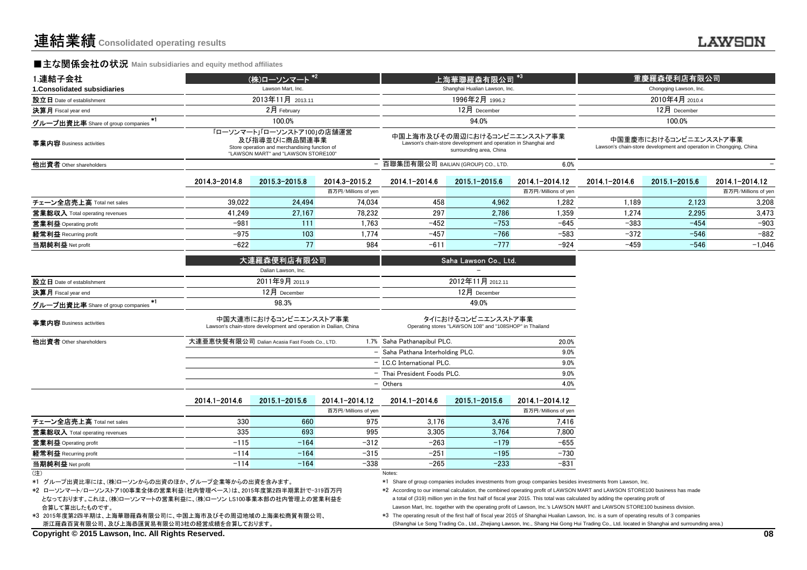### **■主な関係会社の状況** Main subsidiaries and equity method affiliates

| 1.連結子会社                                   |                                                                                                                                     | (株)ローソンマート <sup>*2</sup>                                                                  |                     |                                      | 上海華聯羅森有限公司                                                                                                               | $*3$                |                | 重慶羅森便利店有限公司                                                                                 |                     |  |
|-------------------------------------------|-------------------------------------------------------------------------------------------------------------------------------------|-------------------------------------------------------------------------------------------|---------------------|--------------------------------------|--------------------------------------------------------------------------------------------------------------------------|---------------------|----------------|---------------------------------------------------------------------------------------------|---------------------|--|
| 1. Consolidated subsidiaries              |                                                                                                                                     | Lawson Mart, Inc.                                                                         |                     |                                      | Shanghai Hualian Lawson, Inc.                                                                                            |                     |                | Chongqing Lawson, Inc.                                                                      |                     |  |
| 設立日 Date of establishment                 |                                                                                                                                     | 2013年11月 2013.11                                                                          |                     |                                      | 1996年2月 1996.2                                                                                                           |                     | 2010年4月 2010.4 |                                                                                             |                     |  |
| 決算月 Fiscal year end                       |                                                                                                                                     | 2月 February                                                                               |                     |                                      | 12月 December                                                                                                             |                     |                | 12月 December                                                                                |                     |  |
| ×ı<br>グループ出資比率 Share of group companies   |                                                                                                                                     | 100.0%                                                                                    |                     |                                      | 94.0%                                                                                                                    |                     |                | 100.0%                                                                                      |                     |  |
| 事業内容 Business activities                  | 「ローソンマート」「ローソンストア100」の店舗運営<br>及び指導並びに商品関連事業<br>Store operation and merchandising function of<br>"LAWSON MART" and "LAWSON STORE100" |                                                                                           |                     |                                      | 中国上海市及びその周辺におけるコンビニエンスストア事業<br>Lawson's chain-store development and operation in Shanghai and<br>surrounding area, China |                     |                | 中国重慶市におけるコンビニエンスストア事業<br>Lawson's chain-store development and operation in Chongging, China |                     |  |
| 他出資者 Other shareholders                   |                                                                                                                                     |                                                                                           |                     | - 百聯集団有限公司 BAILIAN (GROUP) CO., LTD. |                                                                                                                          | 6.0%                |                |                                                                                             |                     |  |
|                                           | 2014.3-2014.8                                                                                                                       | 2015 3-2015 8                                                                             | 2014.3-2015.2       | 2014.1-2014.6                        | $2015.1 - 2015.6$                                                                                                        | 2014.1-2014.12      | 2014.1-2014.6  | 2015.1-2015.6                                                                               | 2014.1-2014.12      |  |
|                                           |                                                                                                                                     |                                                                                           | 百万円/Millions of yen |                                      |                                                                                                                          | 百万円/Millions of yen |                |                                                                                             | 百万円/Millions of yer |  |
| チェーン全店売上高 Total net sales                 | 39.022                                                                                                                              | 24.494                                                                                    | 74.034              | 458                                  | 4.962                                                                                                                    | 1.282               | 1.189          | 2.123                                                                                       | 3,208               |  |
| 営業総収入 Total operating revenues            | 41.249                                                                                                                              | 27.167                                                                                    | 78.232              | 297                                  | 2.786                                                                                                                    | 1,359               | 1,274          | 2.295                                                                                       | 3.473               |  |
| 営業利益 Operating profit                     | $-981$                                                                                                                              | 111                                                                                       | 1.763               | $-452$                               | $-753$                                                                                                                   | $-645$              | $-383$         | $-454$                                                                                      | $-903$              |  |
| 経常利益 Recurring profit                     | $-975$                                                                                                                              | 103                                                                                       | 1,774               | $-457$                               | $-766$                                                                                                                   | $-583$              | $-372$         | $-546$                                                                                      | $-882$              |  |
| 当期純利益 Net profit                          | $-622$                                                                                                                              | 77                                                                                        | 984                 | $-611$                               | $-777$                                                                                                                   | $-924$              | $-459$         | $-546$                                                                                      | $-1,046$            |  |
|                                           |                                                                                                                                     | 大連羅森便利店有限公司                                                                               |                     |                                      | Saha Lawson Co., Ltd.                                                                                                    |                     |                |                                                                                             |                     |  |
|                                           |                                                                                                                                     | Dalian Lawson, Inc.                                                                       |                     |                                      |                                                                                                                          |                     |                |                                                                                             |                     |  |
| 設立日 Date of establishment                 | 2011年9月 2011.9                                                                                                                      |                                                                                           |                     |                                      | 2012年11月 2012.11                                                                                                         |                     |                |                                                                                             |                     |  |
| 決算月 Fiscal year end                       |                                                                                                                                     | 12月 December                                                                              |                     | 12月 December                         |                                                                                                                          |                     |                |                                                                                             |                     |  |
| $*1$<br>グループ出資比率 Share of group companies |                                                                                                                                     | 98.3%                                                                                     |                     | 49.0%                                |                                                                                                                          |                     |                |                                                                                             |                     |  |
| 事業内容 Business activities                  |                                                                                                                                     | 中国大連市におけるコンビニエンスストア事業<br>Lawson's chain-store development and operation in Dailian, China |                     |                                      | タイにおけるコンビニエンスストア事業<br>Operating stores "LAWSON 108" and "108SHOP" in Thailand                                            |                     |                |                                                                                             |                     |  |
| 他出資者 Other shareholders                   |                                                                                                                                     | 大連亜恵快餐有限公司 Dalian Acasia Fast Foods Co., LTD.                                             |                     | 1.7% Saha Pathanapibul PLC.          |                                                                                                                          | 20.0%               |                |                                                                                             |                     |  |
|                                           |                                                                                                                                     |                                                                                           |                     | - Saha Pathana Interholding PLC.     |                                                                                                                          | 9.0%                |                |                                                                                             |                     |  |
|                                           |                                                                                                                                     |                                                                                           |                     | - I.C.C International PLC.           |                                                                                                                          | 9.0%                |                |                                                                                             |                     |  |
|                                           |                                                                                                                                     |                                                                                           |                     | - Thai President Foods PLC.          |                                                                                                                          | 9.0%                |                |                                                                                             |                     |  |
|                                           |                                                                                                                                     |                                                                                           |                     | - Others                             |                                                                                                                          | 4.0%                |                |                                                                                             |                     |  |
|                                           | 2014.1-2014.6                                                                                                                       | 2015.1-2015.6                                                                             | 2014.1-2014.12      | 2014.1-2014.6                        | 2015.1-2015.6                                                                                                            | 2014.1-2014.12      |                |                                                                                             |                     |  |
|                                           |                                                                                                                                     |                                                                                           | 百万円/Millions of yen |                                      |                                                                                                                          | 百万円/Millions of yen |                |                                                                                             |                     |  |
| チェーン全店売上高 Total net sales                 | 330                                                                                                                                 | 660                                                                                       | 975                 | 3,176                                | 3,476                                                                                                                    | 7,416               |                |                                                                                             |                     |  |
| <b>営業総収入</b> Total operating revenues     | 335                                                                                                                                 | 693                                                                                       | 995                 | 3,305                                | 3,764                                                                                                                    | 7,800               |                |                                                                                             |                     |  |
| 営業利益 Operating profit                     | $-115$                                                                                                                              | $-164$                                                                                    | $-312$              | $-263$                               | $-179$                                                                                                                   | $-655$              |                |                                                                                             |                     |  |
| 経常利益 Recurring profit                     | $-114$                                                                                                                              | $-164$                                                                                    | $-315$              | $-251$                               | $-195$                                                                                                                   | $-730$              |                |                                                                                             |                     |  |
| 当期純利益 Net profit                          | $-114$                                                                                                                              | $-164$                                                                                    | $-338$              | $-265$                               | $-233$                                                                                                                   | $-831$              |                |                                                                                             |                     |  |
| $(\pm)$                                   |                                                                                                                                     |                                                                                           |                     | Notes:                               |                                                                                                                          |                     |                |                                                                                             |                     |  |

\*1 グループ出資比率には、(株)ローソンからの出資のほか、グループ企業等からの出資を含みます。

合算して算出したものです。 \*2 ローソンマート/ローソンストア100事業全体の営業利益(社内管理ベース)は、2015年度第2四半期累計で-319百万円となっております。これは、(株)ローソンマートの営業利益に、(株)ローソン LS100事業本部の社内管理上の営業利益を

Notes:

 \*3 2015年度第2四半期は、上海華聯羅森有限公司に、中国上海市及びその周辺地域の上海楽松商貿有限公司、浙江羅森百貨有限公司、及び上海恭匯貿易有限公司3社の経営成績を合算しております。

\*1 Share of group companies includes investments from group companies besides investments from Lawson, Inc.

- \*2 According to our internal calculation, the combined operating profit of LAWSON MART and LAWSON STORE100 business has madea total of (319) million yen in the first half of fiscal year 2015. This total was calculated by adding the operating profit ofLawson Mart, Inc. together with the operating profit of Lawson, Inc.'s LAWSON MART and LAWSON STORE100 business division.
- \*3 The operating result of the first half of fiscal year 2015 of Shanghai Hualian Lawson, Inc. is a sum of operating results of 3 companies(Shanghai Le Song Trading Co., Ltd., Zhejiang Lawson, Inc., Shang Hai Gong Hui Trading Co., Ltd. located in Shanghai and surrounding area.)

**Copyright © 2015 Lawson, Inc. All Rights Reserved.**

(注)

### .......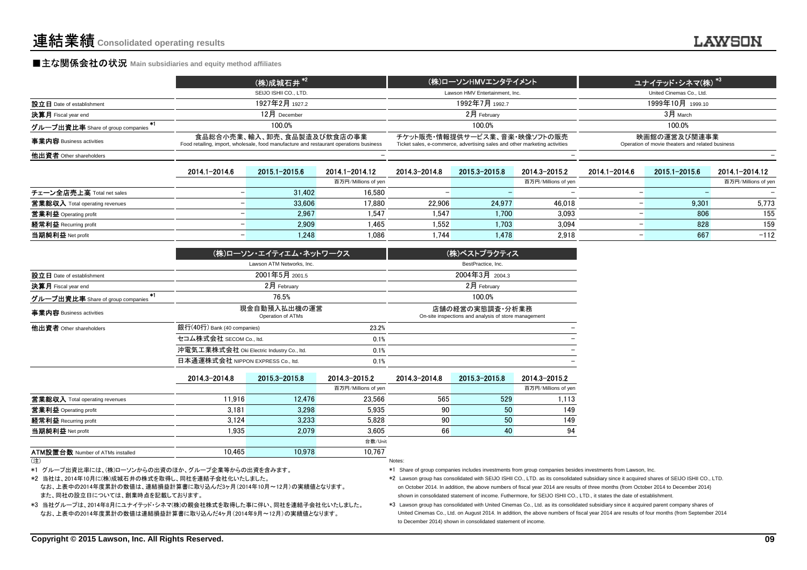### **■主な関係会社の状況** Main subsidiaries and equity method affiliates

|                                     | (株)成城石井 <sup>*2</sup>                                                                                                | (株)ローソンHMVエンタテイメント                                                                                         | ユナイテッド・シネマ(株) <sup>*3  </sup>                                    |
|-------------------------------------|----------------------------------------------------------------------------------------------------------------------|------------------------------------------------------------------------------------------------------------|------------------------------------------------------------------|
|                                     | SEIJO ISHII CO., LTD.                                                                                                | Lawson HMV Entertainment, Inc.                                                                             | United Cinemas Co., Ltd.                                         |
| 設立日 Date of establishment           | 1927年2月 1927.2                                                                                                       | 1992年7月 1992.7                                                                                             | 1999年10月 1999.10                                                 |
| <b>決算月</b> Fiscal year end          | $12$ 月 December                                                                                                      | $2月$ February                                                                                              | $3H$ March                                                       |
| グループ出資比率 Share of group companies i | 100.0%                                                                                                               | 100.0%                                                                                                     | 100.0%                                                           |
| 事業内容 Business activities            | 食品総合小売業、輸入、卸売、食品製造及び飲食店の事業<br>Food retailing, import, wholesale, food manufacture and restaurant operations business | チケット販売・情報提供サービス業、音楽・映像ソフトの販売<br>Ticket sales, e-commerce, advertising sales and other marketing activities | 映画館の運営及び関連事業<br>Operation of movie theaters and related business |
| 他出資者 Other shareholders             |                                                                                                                      |                                                                                                            |                                                                  |
|                                     |                                                                                                                      |                                                                                                            |                                                                  |

|                                | 2014.1-2014.6 | 2015 1-2015 6 | 2014.1-2014.12      | 2014.3-2014.8 | 2015.3-2015.8 | 2014.3-2015.2            | 2014.1-2014.6 | 2015 1-2015 6 | 2014.1-2014.12      |
|--------------------------------|---------------|---------------|---------------------|---------------|---------------|--------------------------|---------------|---------------|---------------------|
|                                |               |               | 百万円/Millions of yen |               |               | 百万円/Millions of yen      |               |               | 百万円/Millions of yen |
| チェーン全店売上高 Total net sales      |               | 31.402        | 16.580              |               |               | $\overline{\phantom{0}}$ |               |               |                     |
| 営業総収入 Total operating revenues |               | 33,606        | 17,880              | 22.906        | 24.977        | 46,018                   |               | 9.301         | 5,773               |
| 営業利益 Operating profit          |               | 2.967         | 1.547               | .547          | 1.700         | 3.093                    |               | 806           | 155                 |
| 経常利益 Recurring profit          |               | 2.909         | 1.465               | .552          | 1.703         | 3.094                    |               | 828           | 159                 |
| 当期純利益 Net profit               |               | 1.248         | 1.086               | 1.744         | 1.478         | 2,918                    |               | 667           | $-112$              |

|                                         | (株)ローソン・エイティエム・ネットワークス                    |       | (株)ベストプラクティス                                                            |
|-----------------------------------------|-------------------------------------------|-------|-------------------------------------------------------------------------|
|                                         | Lawson ATM Networks, Inc.                 |       | BestPractice, Inc.                                                      |
| 設立日 Date of establishment               | 2001年5月 2001.5                            |       | 2004年3月 2004.3                                                          |
| 決算月 Fiscal year end                     | $2月$ February                             |       | $2月$ February                                                           |
| *1<br>グループ出資比率 Share of group companies | 76.5%                                     |       | 100.0%                                                                  |
| 事業内容 Business activities                | 現金自動預入払出機の運営<br>Operation of ATMs         |       | 店舗の経営の実態調査・分析業務<br>On-site inspections and analysis of store management |
| 他出資者 Other shareholders                 | 銀行(40行) Bank (40 companies)               | 23.2% |                                                                         |
|                                         | セコム株式会社 SECOM Co., ltd.                   | 0.1%  |                                                                         |
|                                         | 沖電気工業株式会社 Oki Electric Industry Co., Itd. | 0.1%  |                                                                         |
|                                         | 日本通運株式会社 NIPPON EXPRESS Co., ltd.         | 0.1%  |                                                                         |

|                                         | 2014 3-2014 8 | 2015 3-2015 8 | 2014.3-2015.2       | 2014.3-2014.8 | 2015.3-2015.8 | 2014 3-2015 2       |
|-----------------------------------------|---------------|---------------|---------------------|---------------|---------------|---------------------|
|                                         |               |               | 百万円/Millions of yen |               |               | 百万円/Millions of yen |
| 営業総収入 Total operating revenues          | 11.916        | 12.476        | 23.566              | 565           | 529           | 1.113               |
| 営業利益 Operating profit                   | 3.181         | 3.298         | 5.935               | 90            | 50            | 149                 |
| 経常利益 Recurring profit                   | 3.124         | 3.233         | 5.828               | 90            | 50            | 149                 |
| 当期純利益 Net profit                        | .935          | 2.079         | 3.605               | 66            | 40            | 94                  |
|                                         |               |               | 台数/Unit             |               |               |                     |
| <b>ATM設置台数 Number of ATMs installed</b> | 10.465        | 10.978        | 10.767              |               |               |                     |
| (注)                                     |               |               |                     | Notes:        |               |                     |

(注)) and the contract of the contract of the contract of the contract of the contract of the contract of the contract of the contract of the contract of the contract of the contract of the contract of the contract of the cont

\*1 グループ出資比率には、(株)ローソンからの出資のほか、グループ企業等からの出資を含みます。

\*2 当社は、2014年10月に(株)成城石井の株式を取得し、同社を連結子会社化いたしました。

 なお、上表中の2014年度累計の数値は、連結損益計算書に取り込んだ3ヶ月(2014年10月~12月)の実績値となります。また、同社の設立日については、創業時点を記載しております。

\*3 当社グループは、2014年8月にユナイテッド・シネマ(株)の親会社株式を取得した事に伴い、同社を連結子会社化いたしました。 なお、上表中の2014年度累計の数値は連結損益計算書に取り込んだ4ヶ月(2014年9月~12月)の実績値となります。

\*1 Share of group companies includes investments from group companies besides investments from Lawson, Inc.

\*2 Lawson group has consolidated with SEIJO ISHII CO., LTD. as its consolidated subsidiary since it acquired shares of SEIJO ISHII CO., LTD.on October 2014. In addition, the above numbers of fiscal year 2014 are results of three months (from October 2014 to December 2014)shown in consolidated statement of income. Futhermore, for SEIJO ISHII CO., LTD., it states the date of establishment.

 \*3 Lawson group has consolidated with United Cinemas Co., Ltd. as its consolidated subsidiary since it acquired parent company shares of United Cinemas Co., Ltd. on August 2014. In addition, the above numbers of fiscal year 2014 are results of four months (from September 2014 to December 2014) shown in consolidated statement of income.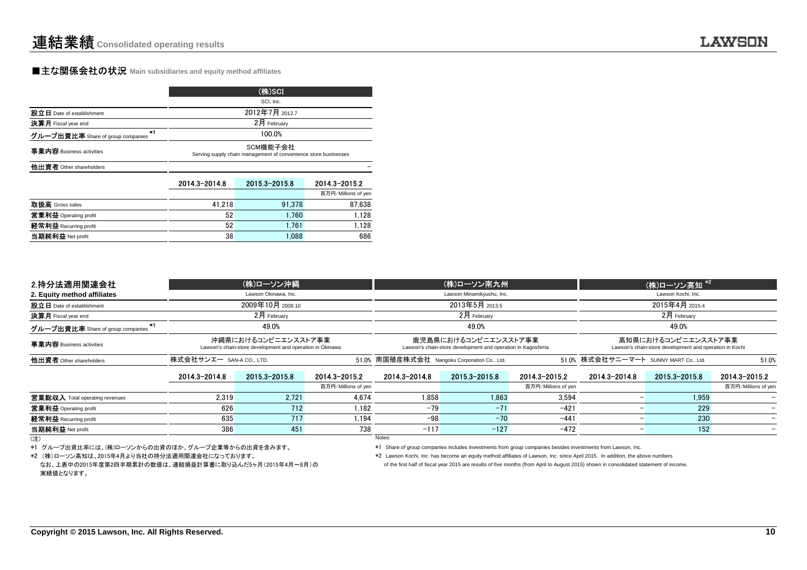### **■主な関係会社の状況 Main subsidiaries and equity method affiliates**

|                                           | (株)SCI                                                                      |               |                     |  |  |  |
|-------------------------------------------|-----------------------------------------------------------------------------|---------------|---------------------|--|--|--|
|                                           | SCI, Inc.                                                                   |               |                     |  |  |  |
| 設立日 Date of establishment                 | 2012年7月 2012.7                                                              |               |                     |  |  |  |
| 決算月 Fiscal year end                       |                                                                             | 2月 February   |                     |  |  |  |
| $+1$<br>グループ出資比率 Share of group companies | 100.0%                                                                      |               |                     |  |  |  |
| 事業内容 Business activities                  | SCM機能子会社<br>Serving supply chain management of convenience store businesses |               |                     |  |  |  |
| 他出資者 Other shareholders                   |                                                                             |               |                     |  |  |  |
|                                           | 2014.3-2014.8                                                               | 2015.3-2015.8 | 2014.3-2015.2       |  |  |  |
|                                           |                                                                             |               | 百万円/Millions of yen |  |  |  |
| 取扱高 Gross sales                           | 41.218                                                                      | 91.378        | 87,638              |  |  |  |
| 営業利益 Operating profit                     | 52                                                                          | 1.760         | 1,128               |  |  |  |
|                                           | 52                                                                          | 1.761         |                     |  |  |  |
| 経常利益 Recurring profit                     |                                                                             |               | 1,128               |  |  |  |

| 2.持分法適用関連会社                             |                                                                                                                                                                         | (株)ローソン沖縄            |                     |                                              | (株)ローソン南九州                |                     |                                       | (株)ローソン高知*2                                                                    |                     |
|-----------------------------------------|-------------------------------------------------------------------------------------------------------------------------------------------------------------------------|----------------------|---------------------|----------------------------------------------|---------------------------|---------------------|---------------------------------------|--------------------------------------------------------------------------------|---------------------|
| 2. Equity method affiliates             |                                                                                                                                                                         | Lawson Okinawa, Inc. |                     |                                              | Lawson Minamikyushu, Inc. |                     |                                       | Lawson Kochi, Inc.                                                             |                     |
| 設立日 Date of establishment               |                                                                                                                                                                         | 2009年10月 2009.10     |                     | 2013年5月 2013.5                               |                           |                     |                                       |                                                                                |                     |
| 決算月 Fiscal year end                     |                                                                                                                                                                         | $2$ 月 February       |                     | $2$ 月 February                               |                           |                     |                                       | $2$ 月 February                                                                 |                     |
| *1<br>グループ出資比率 Share of group companies |                                                                                                                                                                         | 49.0%                |                     |                                              | 49.0%                     |                     |                                       | 49.0%                                                                          |                     |
| 事業内容 Business activities                | 沖縄県におけるコンビニエンスストア事業<br>鹿児島県におけるコンビニエンスストア事業<br>Lawson's chain-store development and operation in Okinawa<br>Lawson's chain-store development and operation in Kagoshima |                      |                     |                                              |                           |                     |                                       | 高知県におけるコンビニエンスストア事業<br>Lawson's chain-store development and operation in Kochi |                     |
| 他出資者 Other shareholders                 | 株式会社サンエー SAN-A COLTD.                                                                                                                                                   |                      |                     | 51.0% 南国殖産株式会社 Nangoku Corporation Co., Ltd. |                           |                     | 51.0% 株式会社サニーマート SUNNY MART Co., Ltd. |                                                                                | 51.0%               |
|                                         | 2014.3-2014.8                                                                                                                                                           | 2015.3-2015.8        | 2014.3-2015.2       | 2014.3-2014.8                                | 2015.3-2015.8             | 2014.3-2015.2       | 2014.3-2014.8                         | 2015.3-2015.8                                                                  | 2014.3-2015.2       |
|                                         |                                                                                                                                                                         |                      | 百万円/Millions of yen |                                              |                           | 百万円/Millions of yen |                                       |                                                                                | 百万円/Millions of yen |
| 営業総収入 Total operating revenues          | 2.319                                                                                                                                                                   | 2.721                | 4.674               | 1.858                                        | 1.863                     | 3.594               |                                       | 1.959                                                                          |                     |
| 営業利益 Operating profit                   | 626                                                                                                                                                                     | 712                  | 1.182               | $-79$                                        | $-71$                     | $-421$              |                                       | 229                                                                            |                     |
| 経常利益 Recurring profit                   | 635                                                                                                                                                                     | 717                  | 1.194               | $-98$                                        | $-70$                     | $-441$              |                                       | 230                                                                            |                     |
| 当期純利益 Net profit                        | 386                                                                                                                                                                     | 451                  | 738                 | $-117$                                       | $-127$                    | $-472$              |                                       | 152                                                                            |                     |
| (注)                                     |                                                                                                                                                                         |                      |                     | Notes:                                       |                           |                     |                                       |                                                                                |                     |

\*1 グループ出資比率には、(株)ローソンからの出資のほか、グループ企業等からの出資を含みます。

\*2 (株)ローソン高知は、2015年4月より当社の持分法適用関連会社になっております。

\*1 Share of group companies includes investments from group companies besides investments from Lawson, Inc.

\*2 Lawson Kochi, Inc. has become an equity method affiliates of Lawson, Inc. since April 2015. In addition, the above numbers

なお、上表中の2015年度第2四半期累計の数値は、連結損益計算書に取り込んだ5ヶ月(2015年4月~8月)の実績値となります。

of the first half of fiscal year 2015 are results of five months (from April to August 2015) shown in consolidated statement of income.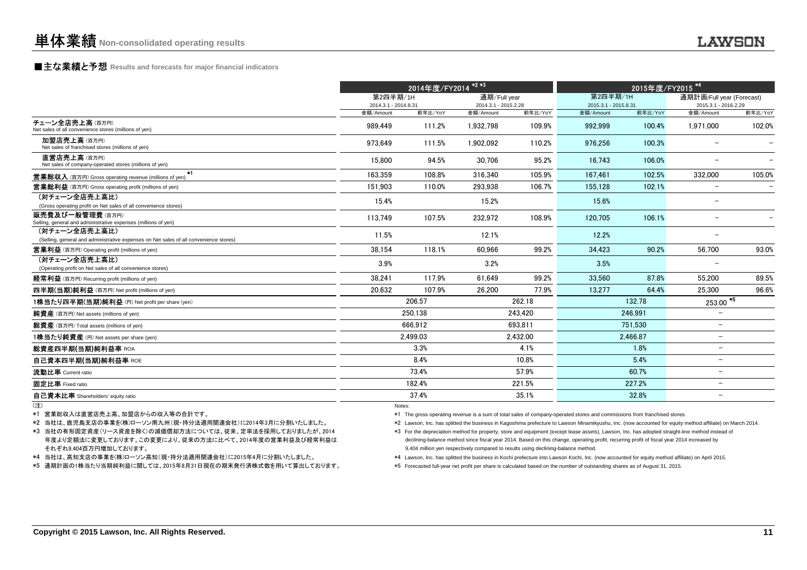## **■主な業績と予想** Results and forecasts for major financial indicators<br>
————————————————————

|                                                                                                                                             | 2014年度/FY2014 <sup>*2*3</sup>                                                                                                                                                                                                                                                                                                                                                                                                                                                                                                                     |          |                                      | 2015年度/FY2015 <sup>*4</sup> |                                                                                                                                                  |          |                                                   |         |
|---------------------------------------------------------------------------------------------------------------------------------------------|---------------------------------------------------------------------------------------------------------------------------------------------------------------------------------------------------------------------------------------------------------------------------------------------------------------------------------------------------------------------------------------------------------------------------------------------------------------------------------------------------------------------------------------------------|----------|--------------------------------------|-----------------------------|--------------------------------------------------------------------------------------------------------------------------------------------------|----------|---------------------------------------------------|---------|
|                                                                                                                                             | 第2四半期/1H<br>2014.3.1 - 2014.8.31                                                                                                                                                                                                                                                                                                                                                                                                                                                                                                                  |          | 通期/Full year<br>2014.3.1 - 2015.2.28 |                             | 第2四半期/1H<br>2015.3.1 - 2015.8.31                                                                                                                 |          | 通期計画/Full year (Forecast)<br>2015.3.1 - 2016.2.29 |         |
| チェーン全店売上高(百万円)                                                                                                                              | 金額/Amount                                                                                                                                                                                                                                                                                                                                                                                                                                                                                                                                         | 前年比/YoY  | 金額/Amount                            | 前年比/YoY                     | 金額/Amount                                                                                                                                        | 前年比/YoY  | 金額/Amount                                         | 前年比/YoY |
| Net sales of all convenience stores (millions of yen)                                                                                       | 989.449                                                                                                                                                                                                                                                                                                                                                                                                                                                                                                                                           | 111.2%   | 1.932.798                            | 109.9%                      | 992.999                                                                                                                                          | 100.4%   | 1.971.000                                         | 102.0%  |
| 加盟店売上高(百万円)<br>Net sales of franchised stores (millions of yen)                                                                             | 973.649                                                                                                                                                                                                                                                                                                                                                                                                                                                                                                                                           | 111.5%   | 1.902.092                            | 110.2%                      | 976.256                                                                                                                                          | 100.3%   |                                                   |         |
| 直営店売上高(百万円)<br>Net sales of company-operated stores (millions of yen)                                                                       | 15.800                                                                                                                                                                                                                                                                                                                                                                                                                                                                                                                                            | 94.5%    | 30.706                               | 95.2%                       | 16.743                                                                                                                                           | 106.0%   | $\overline{\phantom{0}}$                          |         |
| $*1$<br><b>営業総収入</b> (百万円) Gross operating revenue (millions of yen)                                                                        | 163.359                                                                                                                                                                                                                                                                                                                                                                                                                                                                                                                                           | 108.8%   | 316.340                              | 105.9%                      | 167.461                                                                                                                                          | 102.5%   | 332,000                                           | 105.0%  |
| <b>営業総利益</b> (百万円) Gross operating profit (millions of yen)                                                                                 | 151.903                                                                                                                                                                                                                                                                                                                                                                                                                                                                                                                                           | 110.0%   | 293,938                              | 106.7%                      | 155.128                                                                                                                                          | 102.1%   | $\qquad \qquad -$                                 |         |
| (対チェーン全店売上高比)<br>(Gross operating profit on Net sales of all convenience stores)                                                            | 15.4%                                                                                                                                                                                                                                                                                                                                                                                                                                                                                                                                             |          | 15.2%                                |                             | 15.6%                                                                                                                                            |          | $\overline{\phantom{0}}$                          |         |
| <b>販売費及び一般管理費</b> (百万円)<br>Selling, general and administrative expenses (millions of yen)                                                   | 113.749                                                                                                                                                                                                                                                                                                                                                                                                                                                                                                                                           | 107.5%   | 232.972                              | 108.9%                      | 120.705                                                                                                                                          | 106.1%   | $\overline{\phantom{m}}$                          |         |
| (対チェーン全店売上高比)<br>(Selling, general and administrative expenses on Net sales of all convenience stores)                                      | 11.5%                                                                                                                                                                                                                                                                                                                                                                                                                                                                                                                                             |          | 12.1%                                |                             | 12.2%                                                                                                                                            |          | $\overline{\phantom{0}}$                          |         |
| <b>営業利益</b> (百万円) Operating profit (millions of yen)                                                                                        | 38,154                                                                                                                                                                                                                                                                                                                                                                                                                                                                                                                                            | 118.1%   | 60.966                               | 99.2%                       | 34.423                                                                                                                                           | 90.2%    | 56.700                                            | 93.0%   |
| (対チェーン全店売上高比)                                                                                                                               | 3.9%                                                                                                                                                                                                                                                                                                                                                                                                                                                                                                                                              |          | 3.2%                                 |                             | 3.5%                                                                                                                                             |          |                                                   |         |
| (Operating profit on Net sales of all convenience stores)                                                                                   |                                                                                                                                                                                                                                                                                                                                                                                                                                                                                                                                                   |          |                                      |                             |                                                                                                                                                  |          |                                                   |         |
| <b>経常利益</b> (百万円) Recurring profit (millions of yen)                                                                                        | 38.241                                                                                                                                                                                                                                                                                                                                                                                                                                                                                                                                            | 117.9%   | 61.649                               | 99.2%                       | 33.560                                                                                                                                           | 87.8%    | 55.200                                            | 89.5%   |
| 四半期(当期)純利益 (百万円) Net profit (millions of yen)                                                                                               | 20.632                                                                                                                                                                                                                                                                                                                                                                                                                                                                                                                                            | 107.9%   | 26,200                               | 77.9%                       | 13,277                                                                                                                                           | 64.4%    | 25,300                                            | 96.6%   |
| 1株当たり四半期(当期)純利益 (円) Net profit per share (yen)                                                                                              |                                                                                                                                                                                                                                                                                                                                                                                                                                                                                                                                                   | 206.57   |                                      | 262.18                      |                                                                                                                                                  | 132.78   | $253.00$ <sup>*5</sup>                            |         |
| <b>純資産</b> (百万円) Net assets (millions of yen)                                                                                               |                                                                                                                                                                                                                                                                                                                                                                                                                                                                                                                                                   | 250.138  |                                      | 243.420                     |                                                                                                                                                  | 246.991  | $\overline{\phantom{0}}$                          |         |
| 総資産 (百万円) Total assets (millions of yen)                                                                                                    |                                                                                                                                                                                                                                                                                                                                                                                                                                                                                                                                                   | 666.912  |                                      | 693.811                     |                                                                                                                                                  | 751.530  | $\overline{\phantom{0}}$                          |         |
| 1株当たり純資産 (円) Net assets per share (yen)                                                                                                     |                                                                                                                                                                                                                                                                                                                                                                                                                                                                                                                                                   | 2.499.03 |                                      | 2,432.00                    |                                                                                                                                                  | 2.466.87 | $\overline{\phantom{0}}$                          |         |
| <b>総資産四半期(当期)純利益率 ROA</b>                                                                                                                   |                                                                                                                                                                                                                                                                                                                                                                                                                                                                                                                                                   | 3.3%     |                                      | 4.1%                        |                                                                                                                                                  | 1.8%     | $\overline{\phantom{0}}$                          |         |
| 自己資本四半期(当期)純利益率 ROE                                                                                                                         |                                                                                                                                                                                                                                                                                                                                                                                                                                                                                                                                                   | 8.4%     |                                      | 10.8%                       |                                                                                                                                                  | 5.4%     | $\overline{\phantom{0}}$                          |         |
| 流動比率 Current ratio                                                                                                                          |                                                                                                                                                                                                                                                                                                                                                                                                                                                                                                                                                   | 73.4%    |                                      | 57.9%                       |                                                                                                                                                  | 60.7%    | $\overline{\phantom{0}}$                          |         |
| 固定比率 Fixed ratio                                                                                                                            |                                                                                                                                                                                                                                                                                                                                                                                                                                                                                                                                                   | 182.4%   |                                      | 221.5%                      |                                                                                                                                                  | 227.2%   | $\overline{\phantom{0}}$                          |         |
| 自己資本比率 Shareholders' equity ratio                                                                                                           |                                                                                                                                                                                                                                                                                                                                                                                                                                                                                                                                                   | 37.4%    |                                      | 35.1%                       |                                                                                                                                                  | 32.8%    | $\overline{\phantom{0}}$                          |         |
| (注)                                                                                                                                         | Notes:                                                                                                                                                                                                                                                                                                                                                                                                                                                                                                                                            |          |                                      |                             |                                                                                                                                                  |          |                                                   |         |
| *1 営業総収入は直営店売上高、加盟店からの収入等の合計です。                                                                                                             |                                                                                                                                                                                                                                                                                                                                                                                                                                                                                                                                                   |          |                                      |                             | *1 The gross operating revenue is a sum of total sales of company-operated stores and commissions from franchised stores.                        |          |                                                   |         |
| *2 当社は、鹿児島支店の事業を(株)ローソン南九州(現・持分法適用関連会社)に2014年3月に分割いたしました。                                                                                   |                                                                                                                                                                                                                                                                                                                                                                                                                                                                                                                                                   |          |                                      |                             |                                                                                                                                                  |          |                                                   |         |
| *3 当社の有形固定資産(リース資産を除く)の減価償却方法については、従来、定率法を採用しておりましたが、2014<br>年度より定額法に変更しております。この変更により、従来の方法に比べて、2014年度の営業利益及び経常利益は<br>それぞれ9,404百万円増加しております。 | *2 Lawson, Inc. has splitted the business in Kagoshima prefecture to Lawson Minamikyushu, Inc. (now accounted for equity method affiliate) on March 2014.<br>*3 For the depreciation method for property, store and equipment (except lease assets), Lawson, Inc. has adopted straight-line method instead of<br>declining-balance method since fiscal year 2014. Based on this change, operating profit, recurring profit of fiscal year 2014 increased by<br>9,404 million yen respectively compared to results using declining-balance method. |          |                                      |                             |                                                                                                                                                  |          |                                                   |         |
| *4 当社は、高知支店の事業を(株)ローソン高知(現・持分法適用関連会社)に2015年4月に分割いたしました。                                                                                     |                                                                                                                                                                                                                                                                                                                                                                                                                                                                                                                                                   |          |                                      |                             | *4 Lawson, Inc. has splitted the business in Kochi prefecture into Lawson Kochi, Inc. (now accounted for equity method affiliate) on April 2015. |          |                                                   |         |
| *5 通期計画の1株当たり当期純利益に関しては、2015年8月31日現在の期末発行済株式数を用いて算出しております。                                                                                  |                                                                                                                                                                                                                                                                                                                                                                                                                                                                                                                                                   |          |                                      |                             | *5 Forecasted full-year net profit per share is calculated based on the number of outstanding shares as of August 31, 2015.                      |          |                                                   |         |

- \*2 当社は、鹿児島支店の事業を(株)ローソン南九州(現・持分法適用関連会社)に2014年3月に分割いたしました。
- それぞれ9,404百万円増加しております。
- \*4 当社は、高知支店の事業を(株)ローソン高知(現・持分法適用関連会社)に2015年4月に分割いたしました。
- \*5 通期計画の1株当たり当期純利益に関しては、2015年8月31日現在の期末発行済株式数を用いて算出しております。

- \*2 Lawson, Inc. has splitted the business in Kagoshima prefecture to Lawson Minamikyushu, Inc. (now accounted for equity method affiliate) on March 2014.
- \*3 For the depreciation method for property, store and equipment (except lease assets), Lawson, Inc. has adopted straight-line method instead ofdeclining-balance method since fiscal year 2014. Based on this change, operating profit, recurring profit of fiscal year 2014 increased by9,404 million yen respectively compared to results using declining-balance method.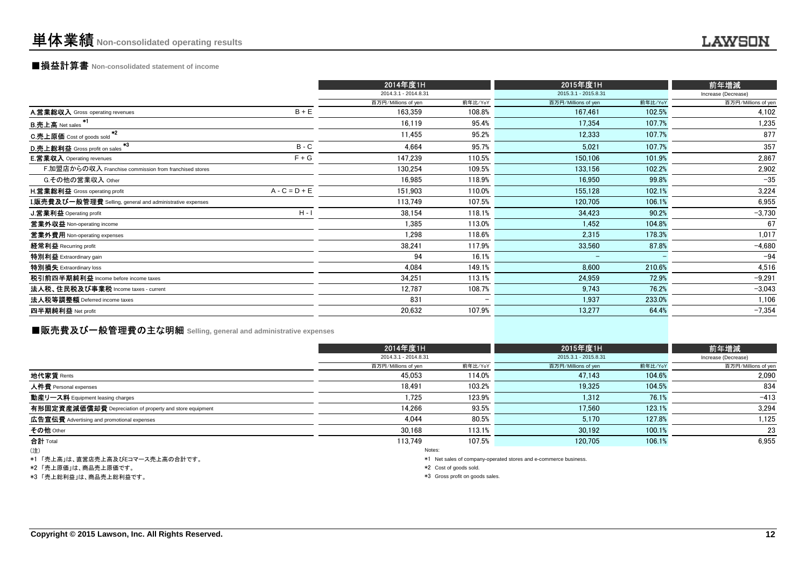## ■損益計算書 **Non-consolidated statement of income**

|                                                           |                 | 2014年度1H             |         | 2015年度1H             |         | 前年增減                |
|-----------------------------------------------------------|-----------------|----------------------|---------|----------------------|---------|---------------------|
|                                                           |                 | 2014.3.1 - 2014.8.31 |         | 2015.3.1 - 2015.8.31 |         | Increase (Decrease) |
|                                                           |                 | 百万円/Millions of yen  | 前年比/YoY | 百万円/Millions of yen  | 前年比/YoY | 百万円/Millions of yen |
| A.営業総収入 Gross operating revenues                          | $B + E$         | 163,359              | 108.8%  | 167,461              | 102.5%  | 4,102               |
| B.売上高 Net sales <sup>*1</sup>                             |                 | 16.119               | 95.4%   | 17.354               | 107.7%  | 1,235               |
| $*2$<br>C.売上原価 Cost of goods sold                         |                 | 11,455               | 95.2%   | 12,333               | 107.7%  | 877                 |
| $*3$<br>D.売上総利益 Gross profit on sales                     | $B - C$         | 4,664                | 95.7%   | 5,021                | 107.7%  | 357                 |
| <b>E.営業収入</b> Operating revenues                          | $F + G$         | 147,239              | 110.5%  | 150.106              | 101.9%  | 2,867               |
| F.加盟店からの収入 Franchise commission from franchised stores    |                 | 130.254              | 109.5%  | 133.156              | 102.2%  | 2,902               |
| G.その他の営業収入 Other                                          |                 | 16,985               | 118.9%  | 16,950               | 99.8%   | $-35$               |
| <b>H.営業総利益</b> Gross operating profit                     | $A - C = D + E$ | 151,903              | 110.0%  | 155.128              | 102.1%  | 3,224               |
| I.販売費及び一般管理費 Selling, general and administrative expenses |                 | 113,749              | 107.5%  | 120,705              | 106.1%  | 6,955               |
| J.営業利益 Operating profit                                   | $H - I$         | 38,154               | 118.1%  | 34,423               | 90.2%   | $-3,730$            |
| 営業外収益 Non-operating income                                |                 | 1,385                | 113.0%  | 1,452                | 104.8%  | 67                  |
| 営業外費用 Non-operating expenses                              |                 | 1,298                | 118.6%  | 2,315                | 178.3%  | 1,017               |
| 経常利益 Recurring profit                                     |                 | 38,241               | 117.9%  | 33.560               | 87.8%   | $-4,680$            |
| 特別利益 Extraordinary gain                                   |                 | 94                   | 16.1%   | -                    |         | $-94$               |
| 特別損失 Extraordinary loss                                   |                 | 4,084                | 149.1%  | 8,600                | 210.6%  | 4,516               |
| 税引前四半期純利益 Income before income taxes                      |                 | 34,251               | 113.1%  | 24,959               | 72.9%   | $-9,291$            |
| 法人税、住民税及び事業税 Income taxes - current                       |                 | 12,787               | 108.7%  | 9,743                | 76.2%   | $-3,043$            |
| 法人税等調整額 Deferred income taxes                             |                 | 831                  |         | 1,937                | 233.0%  | 1,106               |
| 四半期純利益 Net profit                                         |                 | 20,632               | 107.9%  | 13,277               | 64.4%   | $-7,354$            |
|                                                           |                 |                      |         |                      |         |                     |

## **■販売費及び一般管理費の主な明細** Selling, general and administrative expenses

|                                                          | 2014年度1H             |         | 2015年度1H             |         | 前年増減                |
|----------------------------------------------------------|----------------------|---------|----------------------|---------|---------------------|
|                                                          | 2014.3.1 - 2014.8.31 |         | 2015.3.1 - 2015.8.31 |         | Increase (Decrease) |
|                                                          | 百万円/Millions of yen  | 前年比/YoY | 百万円/Millions of yen  | 前年比/YoY | 百万円/Millions of yen |
| 地代家賃 Rents                                               | 45.053               | 114.0%  | 47.143               | 104.6%  | 2.090               |
| 人件費 Personal expenses                                    | 18.491               | 103.2%  | 19.325               | 104.5%  | 834                 |
| 動産リース料 Equipment leasing charges                         | 1,725                | 123.9%  | 1,312                | 76.1%   | $-413$              |
| 有形固定資産減価償却費 Depreciation of property and store equipment | 14,266               | 93.5%   | 17.560               | 123.1%  | 3.294               |
| 広告宣伝費 Advertising and promotional expenses               | 4.044                | 80.5%   | 5,170                | 127.8%  | 1,125               |
| その他 Other                                                | 30.168               | 113.1%  | 30,192               | 100.1%  | 23                  |
| 合計 Total                                                 | 113.749              | 107.5%  | 120.705              | 106.1%  | 6,955               |
| (4)                                                      | Notes:               |         |                      |         |                     |

(注)

\*1 「売上高」は、直営店売上高及びEコマース売上高の合計です。

\*2 「売上原価」は、商品売上原価です。

\*3 「売上総利益」は、商品売上総利益です。

\*1 Net sales of company-operated stores and e-commerce business.

\*2 Cost of goods sold.

\*3 Gross profit on goods sales.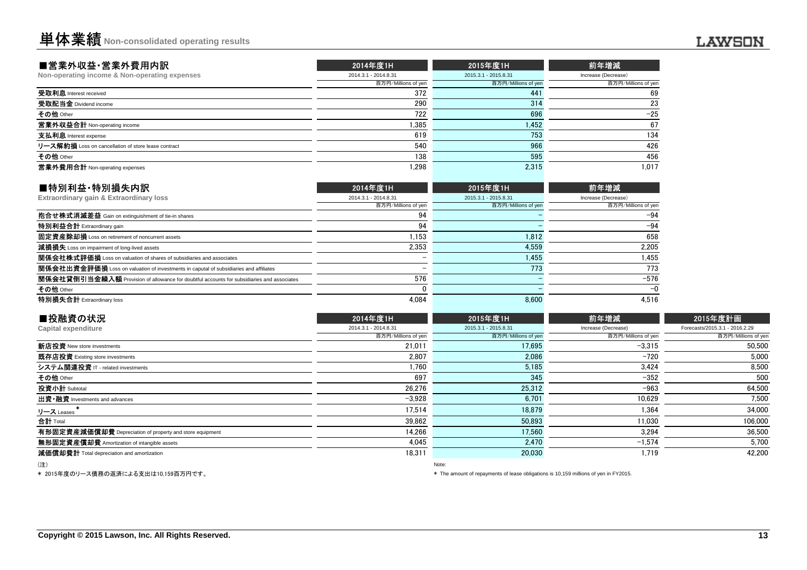| ■営業外収益·営業外費用内訳                                      | 2014年度1H             | 2015年度1H             | 前年増減                |
|-----------------------------------------------------|----------------------|----------------------|---------------------|
| Non-operating income & Non-operating expenses       | 2014.3.1 - 2014.8.31 | 2015.3.1 - 2015.8.31 | Increase (Decrease) |
|                                                     | 百万円/Millions of yen  | 百万円/Millions of yen  | 百万円/Millions of yen |
| 受取利息 Interest received                              | 372                  | 441                  | 69                  |
| 受取配当金 Dividend income                               | 290                  | 314                  | 23                  |
| その他 Other                                           | 722                  | 696                  | $-25$               |
| 営業外収益合計 Non-operating income                        | 1,385                | 1,452                | 67                  |
| 支払利息 Interest expense                               | 619                  | 753                  | 134                 |
| リース解約損 Loss on cancellation of store lease contract | 540                  | 966                  | 426                 |
| その他 Other                                           | 138                  | 595                  | 456                 |
| 営業外費用合計 Non-operating expenses                      | 1.298                | 2.315                | 1.017               |
|                                                     |                      |                      |                     |

| ■特別利益·特別損失内訳                                                                                     | 2014年度1H             | 2015年度1H             | 前年増減                |
|--------------------------------------------------------------------------------------------------|----------------------|----------------------|---------------------|
| Extraordinary gain & Extraordinary loss                                                          | 2014.3.1 - 2014.8.31 | 2015.3.1 - 2015.8.31 | Increase (Decrease) |
|                                                                                                  | 百万円/Millions of yen  | 百万円/Millions of yen  | 百万円/Millions of yer |
| 抱合せ株式消滅差益 Gain on extinguishment of tie-in shares                                                | 94                   |                      | $-94$               |
| 特別利益合計 Extraordinary gain                                                                        | 94                   |                      | $-94$               |
| 固定資産除却損 Loss on retirement of noncurrent assets                                                  | 1.153                | 1.812                | 658                 |
| 減損損失 Loss on impairment of long-lived assets                                                     | 2.353                | 4.559                | 2.205               |
| 関係会社株式評価損 Loss on valuation of shares of subsidiaries and associates                             |                      | 1.455                | 1.455               |
| 関係会社出資金評価損 Loss on valuation of investments in caputal of subsidiaries and affiliates            |                      | 773                  | 773                 |
| <b>関係会社貸倒引当金繰入額</b> Provision of allowance for doubtful accounts for subsidiaries and associates | 576                  |                      | $-576$              |
| その他 Other                                                                                        |                      |                      | $-0$                |
| 特別損失合計 Extraordinary loss                                                                        | 4.084                | 8.600                | 4.516               |
|                                                                                                  |                      |                      |                     |

| ■投融資の状況                                                  | 2014年度1H             | 2015年度1H             | 前年増減                | 2015年度計画                       |
|----------------------------------------------------------|----------------------|----------------------|---------------------|--------------------------------|
| Capital expenditure                                      | 2014.3.1 - 2014.8.31 | 2015.3.1 - 2015.8.31 | Increase (Decrease) | Forecasts/2015.3.1 - 2016.2.29 |
|                                                          | 百万円/Millions of yen  | 百万円/Millions of yen  | 百万円/Millions of yen | 百万円/Millions of yen            |
| 新店投資 New store investments                               | 21.011               | 17.695               | $-3.315$            | 50,500                         |
| 既存店投資 Existing store investments                         | 2,807                | 2,086                | $-720$              | 5,000                          |
| システム関連投資 IT - related investments                        | 1.760                | 5,185                | 3,424               | 8,500                          |
| その他 Other                                                | 697                  | 345                  | $-352$              | 500                            |
| 投資小計 Subtotal                                            | 26,276               | 25,312               | $-963$              | 64,500                         |
| 出資·融資 Investments and advances                           | $-3.928$             | 6.701                | 10.629              | 7,500                          |
| リース Leases                                               | 17.514               | 18,879               | 1,364               | 34,000                         |
| 合計 Total                                                 | 39.862               | 50.893               | 11.030              | 106,000                        |
| 有形固定資産減価償却費 Depreciation of property and store equipment | 14.266               | 17,560               | 3,294               | 36,500                         |
| 無形固定資産償却費 Amortization of intangible assets              | 4,045                | 2,470                | $-1,574$            | 5,700                          |
| 減価償却費計 Total depreciation and amortization               | 18,311               | 20,030               | 1.719               | 42,200                         |
| $\overline{\phantom{a}}$                                 |                      |                      |                     |                                |

(注)

\* 2015年度のリース債務の返済による支出は10,159百万円です。

Note:

\* The amount of repayments of lease obligations is 10,159 millions of yen in FY2015.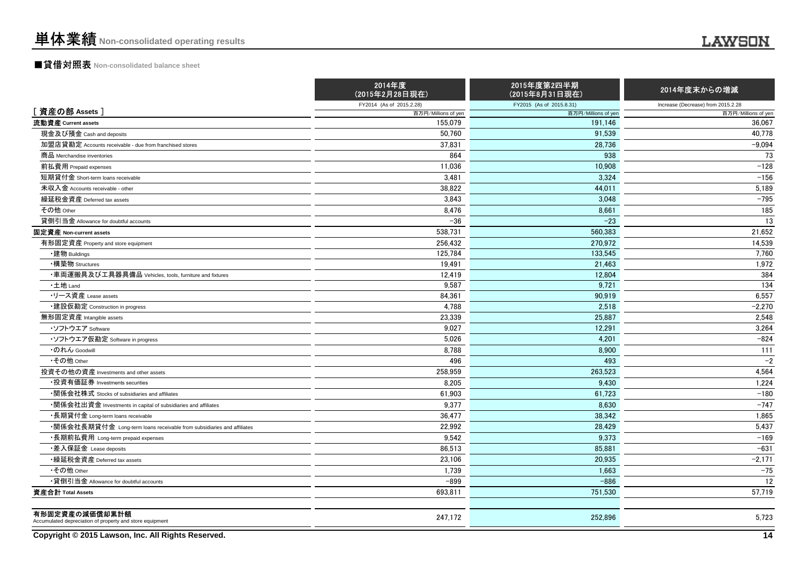## ■貸借対照表 **Non-consolidated balance sheet**

|                                                                            | 2014年度<br>(2015年2月28日現在) | 2015年度第2四半期<br>(2015年8月31日現在) | 2014年度末からの増減                       |
|----------------------------------------------------------------------------|--------------------------|-------------------------------|------------------------------------|
|                                                                            | FY2014 (As of 2015.2.28) | FY2015 (As of 2015.8.31)      | Increase (Decrease) from 2015.2.28 |
| [資産の部 Assets]                                                              | 百万円/Millions of yen      | 百万円/Millions of yen           | 百万円/Millions of yen                |
| 流動資産 Current assets                                                        | 155,079                  | 191,146                       | 36,067                             |
| 現金及び預金 Cash and deposits                                                   | 50,760                   | 91,539                        | 40,778                             |
| 加盟店貸勘定 Accounts receivable - due from franchised stores                    | 37.831                   | 28,736                        | $-9,094$                           |
| 商品 Merchandise inventories                                                 | 864                      | 938                           | 73                                 |
| 前払費用 Prepaid expenses                                                      | 11,036                   | 10,908                        | $-128$                             |
| 短期貸付金 Short-term loans receivable                                          | 3,481                    | 3,324                         | $-156$                             |
| 未収入金 Accounts receivable - other                                           | 38.822                   | 44.011                        | 5,189                              |
| 繰延税金資産 Deferred tax assets                                                 | 3,843                    | 3,048                         | $-795$                             |
| その他 Other                                                                  | 8,476                    | 8,661                         | 185                                |
| 貸倒引当金 Allowance for doubtful accounts                                      | $-36$                    | $-23$                         | 13                                 |
| 固定資産 Non-current assets                                                    | 538.731                  | 560.383                       | 21.652                             |
| 有形固定資産 Property and store equipment                                        | 256,432                  | 270,972                       | 14,539                             |
| ・建物 Buildings                                                              | 125,784                  | 133,545                       | 7,760                              |
| •構築物 Structures                                                            | 19,491                   | 21,463                        | 1,972                              |
| -<br>車両運搬具及び工具器具備品 Vehicles, tools, furniture and fixtures                 | 12.419                   | 12.804                        | 384                                |
| •土地 Land                                                                   | 9,587                    | 9,721                         | 134                                |
| ・リース資産 Lease assets                                                        | 84,361                   | 90,919                        | 6,557                              |
| •建設仮勘定 Construction in progress                                            | 4,788                    | 2,518                         | $-2,270$                           |
| 無形固定資産 Intangible assets                                                   | 23.339                   | 25.887                        | 2.548                              |
| ・ソフトウエア Software                                                           | 9,027                    | 12,291                        | 3,264                              |
| ・ソフトウエア仮勘定 Software in progress                                            | 5,026                    | 4,201                         | $-824$                             |
| ・のれん Goodwill                                                              | 8,788                    | 8.900                         | 111                                |
| •その他 Other                                                                 | 496                      | 493                           | $-2$                               |
| 投資その他の資産 Investments and other assets                                      | 258,959                  | 263,523                       | 4,564                              |
| ・投資有価証券 Investments securities                                             | 8,205                    | 9.430                         | 1,224                              |
| ・関係会社株式 Stocks of subsidiaries and affiliates                              | 61.903                   | 61.723                        | $-180$                             |
| •関係会社出資金 Investments in capital of subsidiaries and affiliates             | 9,377                    | 8.630                         | $-747$                             |
| ・長期貸付金 Long-term loans receivable                                          | 36,477                   | 38,342                        | 1,865                              |
| •関係会社長期貸付金 Long-term loans receivable from subsidiaries and affiliates     | 22,992                   | 28.429                        | 5,437                              |
| ・長期前払費用 Long-term prepaid expenses                                         | 9.542                    | 9.373                         | $-169$                             |
| ・差入保証金 Lease deposits                                                      | 86,513                   | 85,881                        | $-631$                             |
| •繰延税金資産 Deferred tax assets                                                | 23,106                   | 20,935                        | $-2,171$                           |
| •その他 Other                                                                 | 1,739                    | 1,663                         | $-75$                              |
| •貸倒引当金 Allowance for doubtful accounts                                     | $-899$                   | $-886$                        | 12                                 |
| 資産合計 Total Assets                                                          | 693,811                  | 751,530                       | 57,719                             |
| 有形固定資産の減価償却累計額<br>Accumulated depreciation of property and store equipment | 247,172                  | 252,896                       | 5,723                              |

**Copyright © 2015 Lawson, Inc. All Rights Reserved.**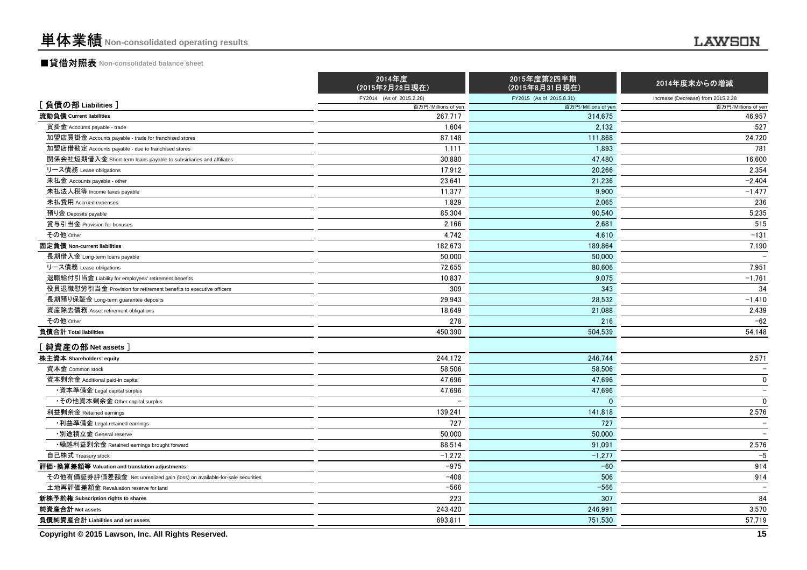## ■貸借対照表 **Non-consolidated balance sheet**

|                                                                          | 2014年度<br>(2015年2月28日現在) | 2015年度第2四半期<br>(2015年8月31日現在) | 2014年度末からの増減                       |
|--------------------------------------------------------------------------|--------------------------|-------------------------------|------------------------------------|
|                                                                          | FY2014 (As of 2015.2.28) | FY2015 (As of 2015.8.31)      | Increase (Decrease) from 2015.2.28 |
| [負債の部 Liabilities]                                                       | 百万円/Millions of yen      | 百万円/Millions of yen           | 百万円/Millions of yen                |
| 流動負債 Current liabilities                                                 | 267,717                  | 314,675                       | 46,957                             |
| 買掛金 Accounts payable - trade                                             | 1,604                    | 2,132                         | 527                                |
| 加盟店買掛金 Accounts payable - trade for franchised stores                    | 87,148                   | 111,868                       | 24,720                             |
| 加盟店借勘定 Accounts payable - due to franchised stores                       | 1,111                    | 1.893                         | 781                                |
| 関係会社短期借入金 Short-term loans payable to subsidiaries and affiliates        | 30.880                   | 47,480                        | 16,600                             |
| リース債務 Lease obligations                                                  | 17,912                   | 20.266                        | 2,354                              |
| 未払金 Accounts payable - other                                             | 23,641                   | 21,236                        | $-2.404$                           |
| 未払法人税等 Income taxes payable                                              | 11,377                   | 9,900                         | $-1,477$                           |
| 未払費用 Accrued expenses                                                    | 1.829                    | 2.065                         | 236                                |
| 預り金 Deposits payable                                                     | 85,304                   | 90,540                        | 5,235                              |
| 賞与引当金 Provision for bonuses                                              | 2.166                    | 2.681                         | 515                                |
| その他 Other                                                                | 4,742                    | 4,610                         | $-131$                             |
| 固定負債 Non-current liabilities                                             | 182,673                  | 189,864                       | 7,190                              |
| 長期借入金 Long-term loans payable                                            | 50,000                   | 50,000                        |                                    |
| リース債務 Lease obligations                                                  | 72,655                   | 80,606                        | 7,951                              |
| 退職給付引当金 Liability for employees' retirement benefits                     | 10,837                   | 9.075                         | $-1,761$                           |
| 役員退職慰労引当金 Provision for retirement benefits to executive officers        | 309                      | 343                           | 34                                 |
| 長期預り保証金 Long-term guarantee deposits                                     | 29,943                   | 28,532                        | $-1,410$                           |
| 資産除去債務 Asset retirement obligations                                      | 18.649                   | 21.088                        | 2,439                              |
| その他 Other                                                                | 278                      | 216                           | $-62$                              |
| 負債合計 Total liabilities                                                   | 450.390                  | 504.539                       | 54.148                             |
| 【純資産の部 Net assets 】                                                      |                          |                               |                                    |
| 株主資本 Shareholders' equity                                                | 244.172                  | 246.744                       | 2,571                              |
| 資本金 Common stock                                                         | 58,506                   | 58,506                        |                                    |
| 資本剰余金 Additional paid-in capital                                         | 47.696                   | 47.696                        | $\mathbf 0$                        |
| ・資本準備金 Legal capital surplus                                             | 47,696                   | 47,696                        | $\equiv$                           |
| •その他資本剰余金 Other capital surplus                                          |                          | $\Omega$                      | $\Omega$                           |
| 利益剰余金 Retained earnings                                                  | 139,241                  | 141,818                       | 2,576                              |
| •利益準備金 Legal retained earnings                                           | 727                      | 727                           | $\overline{\phantom{0}}$           |
| ・別途積立金 General reserve                                                   | 50,000                   | 50,000                        | $\overline{\phantom{0}}$           |
| • 繰越利益剰余金 Retained earnings brought forward                              | 88,514                   | 91,091                        | 2,576                              |
| 自己株式 Treasury stock                                                      | $-1,272$                 | $-1,277$                      | $-5$                               |
| 評価・換算差額等 Valuation and translation adjustments                           | $-975$                   | $-60$                         | 914                                |
| その他有価証券評価差額金 Net unrealized gain (loss) on available-for-sale securities | $-408$                   | 506                           | 914                                |
| 土地再評価差額金 Revaluation reserve for land                                    | $-566$                   | $-566$                        | $\qquad \qquad -$                  |
| 新株予約権 Subscription rights to shares                                      | 223                      | 307                           | 84                                 |
| 純資産合計 Net assets                                                         | 243,420                  | 246,991                       | 3,570                              |
| 負債純資産合計 Liabilities and net assets                                       | 693,811                  | 751.530                       | 57,719                             |

**Copyright © 2015 Lawson, Inc. All Rights Reserved.**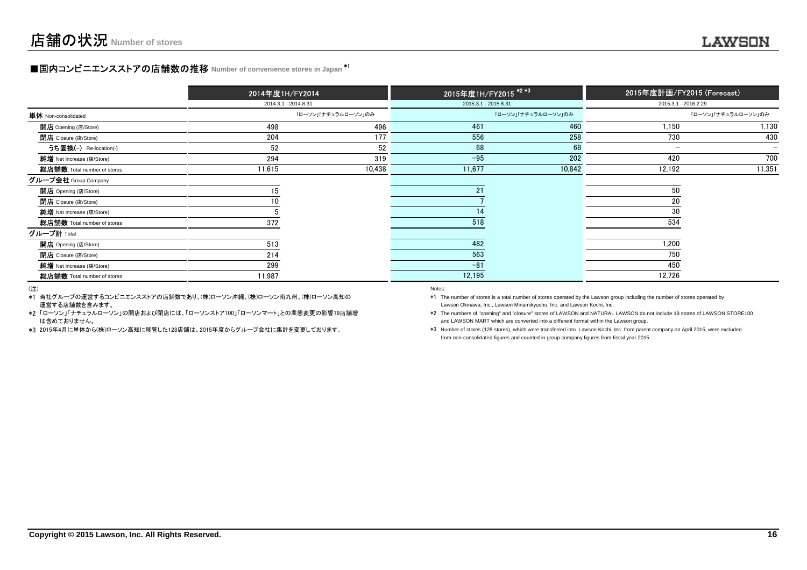## **■国内コンビニエンスストアの店舗数の推移** Number of convenience stores in Japan <sup>\*1</sup>

|                             | 2014年度1H/FY2014      |        |                      | 2015年度1H/FY2015 <sup>*2*3</sup> | 2015年度計画/FY2015 (Forecast) |                          |  |
|-----------------------------|----------------------|--------|----------------------|---------------------------------|----------------------------|--------------------------|--|
|                             | 2014.3.1 - 2014.8.31 |        | 2015.3.1 - 2015.8.31 |                                 | 2015.3.1 - 2016.2.29       |                          |  |
| <b>単体</b> Non-consolidated  | 「ローソン」「ナチュラルローソン」のみ  |        |                      | 「ローソン」「ナチュラルローソン」のみ             |                            | 「ローソン」「ナチュラルローソン」のみ      |  |
| <b>開店</b> Opening (店/Store) | 498                  | 496    | 461                  | 460                             | 1,150                      | 1,130                    |  |
| <b>閉店</b> Closure (店/Store) | 204                  | 177    | 556                  | 258                             | 730                        | 430                      |  |
| うち置換(-) Re-location(-)      | 52                   | 52     | 68                   | 68                              | $\overline{\phantom{0}}$   | $\overline{\phantom{0}}$ |  |
| 純增 Net Increase (店/Store)   | 294                  | 319    | $-95$                | 202                             | 420                        | 700                      |  |
| 総店舗数 Total number of stores | 11,615               | 10,438 | 11,677               | 10,842                          | 12,192                     | 11,351                   |  |
| グループ会社 Group Company        |                      |        |                      |                                 |                            |                          |  |
| <b>開店</b> Opening (店/Store) | 15                   |        | 21                   |                                 | 50                         |                          |  |
| <b>閉店</b> Closure (店/Store) |                      |        |                      |                                 | 20                         |                          |  |
| 純增 Net Increase (店/Store)   |                      |        | 14                   |                                 | 30                         |                          |  |
| 総店舗数 Total number of stores | 372                  |        | 518                  |                                 | 534                        |                          |  |
| グループ計 <sub>Total</sub>      |                      |        |                      |                                 |                            |                          |  |
| 開店 Opening (店/Store)        | 513                  |        | 482                  |                                 | 1,200                      |                          |  |
| <b>閉店</b> Closure (店/Store) | 214                  |        | 563                  |                                 | 750                        |                          |  |
| 純增 Net Increase (店/Store)   | 299                  |        | $-81$                |                                 | 450                        |                          |  |
| 総店舗数 Total number of stores | 11,987               |        | 12,195               |                                 | 12,726                     |                          |  |

(注)

\*1当社グループの運営するコンビニエンスストアの店舗数であり、(株)ローソン沖縄、(株)ローソン南九州、(株)ローソン高知の運営する店舗数を含みます。

\*2「ローソン」「ナチュラルローソン」の開店および閉店には、「ローソンストア100」「ローソンマート」との業態変更の影響19店舗増 は含めておりません。

\*3 2015年4月に単体から(株)ローソン高知に移管した128店舗は、2015年度からグループ会社に集計を変更しております。

#### entropy of the control of the control of the control of the control of the control of the control of the control of the control of the control of the control of the control of the control of the control of the control of t

 Lawson Okinawa, Inc., Lawson Minamikyushu, Inc. and Lawson Kochi, Inc.\*1 The number of stores is a total number of stores operated by the Lawson group including the number of stores operated by

\*2 The numbers of "opening" and "closure" stores of LAWSON and NATURAL LAWSON do not include 19 stores of LAWSON STORE100and LAWSON MART which are converted into a different format within the Lawson group.

\*3 Number of stores (128 stores), which were transferred into Lawson Kochi, Inc. from parent company on April 2015, were excludedfrom non-consolidated figures and counted in group company figures from fiscal year 2015.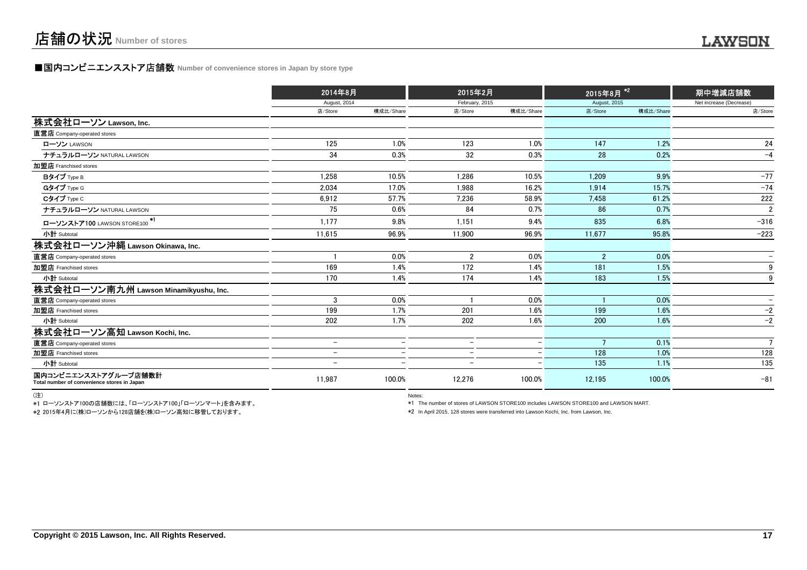## **■国内コンビニエンスストア店舗数 Number of convenience stores in Japan by store type**

|                                                                     |                          | 2014年8月                  |                          | 2015年2月                  |                | 2015年8月 <sup>12</sup> | 期中増減店舗数                  |
|---------------------------------------------------------------------|--------------------------|--------------------------|--------------------------|--------------------------|----------------|-----------------------|--------------------------|
|                                                                     | August, 2014             |                          | February, 2015           |                          | August, 2015   |                       | Net increase (Decrease)  |
|                                                                     | 店/Store                  | 構成比/Share                | 店/Store                  | 構成比/Share                | 店/Store        | 構成比/Share             | 店/Store                  |
| 株式会社ローソン Lawson, Inc.                                               |                          |                          |                          |                          |                |                       |                          |
| 直営店 Company-operated stores                                         |                          |                          |                          |                          |                |                       |                          |
| ローソン LAWSON                                                         | 125                      | 1.0%                     | 123                      | 1.0%                     | 147            | 1.2%                  | 24                       |
| ナチュラルローソン NATURAL LAWSON                                            | 34                       | 0.3%                     | 32                       | 0.3%                     | 28             | 0.2%                  | $-4$                     |
| 加盟店 Franchised stores                                               |                          |                          |                          |                          |                |                       |                          |
| Bタイプ Type B                                                         | 1,258                    | 10.5%                    | 1,286                    | 10.5%                    | 1.209          | 9.9%                  | $-77$                    |
| Gタイプ Type G                                                         | 2.034                    | 17.0%                    | 1.988                    | 16.2%                    | 1.914          | 15.7%                 | $-74$                    |
| Cタイプ Type C                                                         | 6,912                    | 57.7%                    | 7,236                    | 58.9%                    | 7,458          | 61.2%                 | 222                      |
| ナチュラルローソン NATURAL LAWSON                                            | 75                       | 0.6%                     | 84                       | 0.7%                     | 86             | 0.7%                  | $\overline{2}$           |
| ローソンストア100 LAWSON STORE100 <sup>*1</sup>                            | 1,177                    | 9.8%                     | 1,151                    | 9.4%                     | 835            | 6.8%                  | $-316$                   |
| 小計 Subtotal                                                         | 11.615                   | 96.9%                    | 11.900                   | 96.9%                    | 11,677         | 95.8%                 | $-223$                   |
| 株式会社ローソン沖縄 Lawson Okinawa, Inc.                                     |                          |                          |                          |                          |                |                       |                          |
| 直営店 Company-operated stores                                         |                          | 0.0%                     | $\overline{2}$           | 0.0%                     | $\overline{2}$ | 0.0%                  |                          |
| 加盟店 Franchised stores                                               | 169                      | 1.4%                     | 172                      | 1.4%                     | 181            | 1.5%                  | 9                        |
| 小計 Subtotal                                                         | 170                      | 1.4%                     | 174                      | 1.4%                     | 183            | 1.5%                  | 9                        |
| 株式会社ローソン南九州 Lawson Minamikyushu, Inc.                               |                          |                          |                          |                          |                |                       |                          |
| 直営店 Company-operated stores                                         | 3                        | 0.0%                     |                          | 0.0%                     |                | 0.0%                  | $\overline{\phantom{0}}$ |
| 加盟店 Franchised stores                                               | 199                      | 1.7%                     | 201                      | 1.6%                     | 199            | 1.6%                  | $-2$                     |
| 小計 Subtotal                                                         | 202                      | 1.7%                     | 202                      | 1.6%                     | 200            | 1.6%                  | $-2$                     |
| 株式会社ローソン高知 Lawson Kochi, Inc.                                       |                          |                          |                          |                          |                |                       |                          |
| 直営店 Company-operated stores                                         | $\overline{\phantom{a}}$ | $\overline{\phantom{0}}$ | $\overline{\phantom{0}}$ | $\overline{\phantom{0}}$ |                | 0.1%                  | $7\overline{ }$          |
| 加盟店 Franchised stores                                               | $\overline{\phantom{m}}$ | $\overline{\phantom{0}}$ | $\overline{\phantom{a}}$ |                          | 128            | 1.0%                  | 128                      |
| 小計 Subtotal                                                         | -                        | $\overline{\phantom{0}}$ | $\overline{\phantom{0}}$ |                          | 135            | 1.1%                  | 135                      |
| 国内コンビニエンスストアグループ店舗数計<br>Total number of convenience stores in Japan | 11.987                   | 100.0%                   | 12,276                   | 100.0%                   | 12,195         | 100.0%                | $-81$                    |

(注)

\*1 ローソンストア100の店舗数には、「ローソンストア100」「ローソンマート」を含みます。\*2 2015年4月に(株)ローソンから128店舗を(株)ローソン高知に移管しております。

entration of the contract of the contract of the contract of the contract of the contract of the contract of the contract of the contract of the contract of the contract of the contract of the contract of the contract of t

\*1 The number of stores of LAWSON STORE100 includes LAWSON STORE100 and LAWSON MART.

\*2 In April 2015, 128 stores were transferred into Lawson Kochi, Inc. from Lawson, Inc.

.....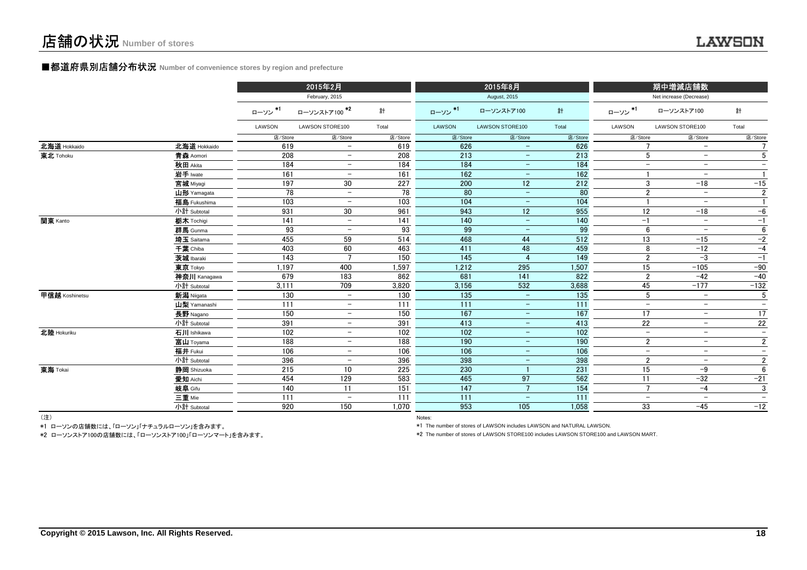### **■都道府県別店舗分布状況** Number of convenience stores by region and prefecture

|                |              |         | 2015年2月                  |         |                 | 2015年8月                  |                  |                          | 期中増減店舗数                  |                          |
|----------------|--------------|---------|--------------------------|---------|-----------------|--------------------------|------------------|--------------------------|--------------------------|--------------------------|
|                |              |         | February, 2015           |         |                 | August, 2015             |                  |                          | Net increase (Decrease)  |                          |
|                |              | ローソン*1  | ローソンストア100 <sup>*2</sup> | 計       | ローソン*1          | ローソンストア100               | 計                | ローソン*1                   | ローソンストア100               | 計                        |
|                |              | LAWSON  | LAWSON STORE100          | Total   | LAWSON          | LAWSON STORE100          | Total            | LAWSON                   | LAWSON STORE100          | Total                    |
|                |              | 店/Store | 店/Store                  | 店/Store | 店/Store         | 店/Store                  | 店/Store          | 店/Store                  | 店/Store                  | 店/Store                  |
| 北海道 Hokkaido   | 北海道 Hokkaido | 619     | $\overline{\phantom{0}}$ | 619     | 626             | $\overline{\phantom{0}}$ | 626              |                          | $\equiv$                 |                          |
| 東北 Tohoku      | 青森 Aomori    | 208     | $\overline{\phantom{0}}$ | 208     | 213             | $\overline{\phantom{m}}$ | 213              | 5                        | $\qquad \qquad -$        | 5                        |
|                | 秋田 Akita     | 184     | $\overline{\phantom{m}}$ | 184     | 184             | $\qquad \qquad =$        | 184              | $-$                      | $\overline{\phantom{m}}$ | $\overline{\phantom{a}}$ |
|                | 岩手 Iwate     | 161     | $\overline{\phantom{0}}$ | 161     | 162             | $\overline{\phantom{m}}$ | 162              |                          | $\overline{\phantom{m}}$ | $\mathbf{1}$             |
|                | 宮城 Miyagi    | 197     | 30                       | 227     | 200             | 12 <sub>2</sub>          | 212              | 3                        | $-18$                    | $-15$                    |
|                | 山形 Yamagata  | 78      | $\overline{\phantom{m}}$ | 78      | 80              | $\overline{\phantom{a}}$ | 80               | $\overline{2}$           | $\overline{\phantom{m}}$ | $\overline{2}$           |
|                | 福島 Fukushima | 103     | $\overline{\phantom{m}}$ | 103     | 104             | $\overline{\phantom{m}}$ | 104              |                          | $\overline{\phantom{m}}$ | $\mathbf{1}$             |
|                | 小計 Subtotal  | 931     | 30                       | 961     | 943             | 12                       | 955              | 12                       | $-18$                    | $-6$                     |
| 関東 Kanto       | 栃木 Tochigi   | 141     | $\overline{\phantom{a}}$ | 141     | 140             | $\equiv$                 | 140              | $-1$                     | $\overline{\phantom{a}}$ | $-1$                     |
|                | 群馬 Gunma     | 93      | $\overline{\phantom{m}}$ | 93      | 99              | $\overline{\phantom{a}}$ | 99               | 6                        | $\overline{\phantom{m}}$ | 6                        |
|                | 埼玉 Saitama   | 455     | 59                       | 514     | 468             | 44                       | 512              | 13                       | $-15$                    | $-2$                     |
|                | 千葉 Chiba     | 403     | 60                       | 463     | 411             | 48                       | 459              | 8                        | $-12$                    | $-4$                     |
|                | 茨城 Ibaraki   | 143     | 7                        | 150     | $\frac{145}{ }$ | $\overline{4}$           | 149              | $\overline{2}$           | $-3$                     | $-1$                     |
|                | 東京 Tokyo     | 1.197   | 400                      | 1,597   | 1,212           | 295                      | 1,507            | 15                       | $-105$                   | $-90$                    |
|                | 神奈川 Kanagawa | 679     | 183                      | 862     | 681             | 141                      | 822              | $\overline{2}$           | $-42$                    | $-40$                    |
|                | 小計 Subtotal  | 3,111   | 709                      | 3,820   | 3,156           | 532                      | 3,688            | 45                       | $-177$                   | $-132$                   |
| 甲信越 Koshinetsu | 新潟 Niigata   | 130     | $\overline{\phantom{0}}$ | 130     | 135             | $\equiv$                 | 135              | $5\phantom{.0}$          | $\overline{\phantom{a}}$ | 5                        |
|                | 山梨 Yamanashi | 111     | $\overline{\phantom{0}}$ | 111     | 111             | $\overline{\phantom{m}}$ | $\overline{111}$ | $\sim$                   | $\overline{\phantom{m}}$ | $\equiv$                 |
|                | 長野 Nagano    | 150     | $\overline{\phantom{m}}$ | 150     | 167             | $\overline{\phantom{a}}$ | 167              | 17                       | $\overline{\phantom{m}}$ | 17                       |
|                | 小計 Subtotal  | 391     | $\overline{\phantom{m}}$ | 391     | 413             | $\overline{\phantom{m}}$ | 413              | 22                       | $\overline{\phantom{m}}$ | 22                       |
| 北陸 Hokuriku    | 石川 Ishikawa  | 102     | $\overline{\phantom{a}}$ | 102     | 102             | $\overline{\phantom{m}}$ | 102              | $\qquad \qquad -$        | $\qquad \qquad -$        | $\overline{\phantom{a}}$ |
|                | 富山 Toyama    | 188     | $\overline{\phantom{m}}$ | 188     | 190             | $\overline{\phantom{m}}$ | 190              | $\overline{2}$           | $\overline{\phantom{m}}$ | $\overline{2}$           |
|                | 福井 Fukui     | 106     | $-$                      | 106     | 106             | $\overline{\phantom{m}}$ | 106              | $\overline{\phantom{a}}$ | $\overline{\phantom{a}}$ | $\equiv$                 |
|                | 小計 Subtotal  | 396     | $\overline{\phantom{m}}$ | 396     | 398             | $\overline{\phantom{m}}$ | 398              | $\overline{2}$           | $\overline{\phantom{a}}$ | $\overline{2}$           |
| 東海 Tokai       | 静岡 Shizuoka  | 215     | 10                       | 225     | 230             |                          | 231              | $\overline{15}$          | $-9$                     | 6                        |
|                | 愛知 Aichi     | 454     | 129                      | 583     | 465             | 97                       | 562              | 11                       | $-32$                    | $-21$                    |
|                | 岐阜 Gifu      | 140     | 11                       | 151     | 147             | $7^{\circ}$              | 154              | $\overline{7}$           | $-4$                     | 3                        |
|                | 三重 Mie       | 111     | $\qquad \qquad -$        | 111     | 111             | $\equiv$                 | 111              | $\overline{a}$           | $\equiv$                 | $-$                      |
|                | 小計 Subtotal  | 920     | 150                      | 1,070   | 953             | 105                      | 1,058            | 33                       | $-45$                    | $-12$                    |
| $(3+1)$        |              |         |                          |         |                 |                          |                  |                          |                          |                          |

(注)

Notes: Notes: Notes: Notes: Notes: Notes: Notes: Notes: Notes: Notes: Notes: Notes: Notes: Notes: Notes: Notes: Notes: Notes: Notes: Notes: Notes: Notes: Notes: Notes: Notes: Notes: Notes: Notes: Notes: Notes: Notes: Notes \*1 ローソンの店舗数には、「ローソン」「ナチュラルローソン」を含みます。

\*2 ローソンストア100の店舗数には、「ローソンストア100」「ローソンマート」を含みます。

\*1 The number of stores of LAWSON includes LAWSON and NATURAL LAWSON.

\*2 The number of stores of LAWSON STORE100 includes LAWSON STORE100 and LAWSON MART.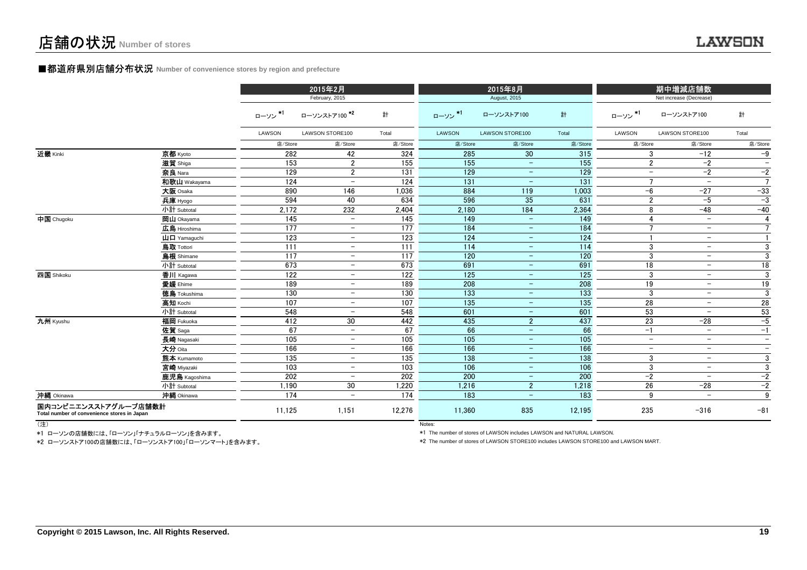### ■都道府県別店舗分布状況 **Number of convenience stores by region and prefecture**

|                                                                     |                     |         | 2015年2月<br>February, 2015 |         |         | 2015年8月<br>August, 2015  |                  |                          | 期中増減店舗数<br>Net increase (Decrease) |                          |
|---------------------------------------------------------------------|---------------------|---------|---------------------------|---------|---------|--------------------------|------------------|--------------------------|------------------------------------|--------------------------|
|                                                                     |                     | ローソン *1 | ローソンストア100 *2             | 計       | ローソン*1  | ローソンストア100               | 計                | ローソン*1                   | ローソンストア100                         | 計                        |
|                                                                     |                     | LAWSON  | LAWSON STORE100           | Total   | LAWSON  | LAWSON STORE100          | Total            | LAWSON                   | LAWSON STORE100                    | Total                    |
|                                                                     |                     | 店/Store | 店/Store                   | 店/Store | 店/Store | 店/Store                  | 店/Store          | 店/Store                  | 店/Store                            | 店/Store                  |
| 近畿 Kinki                                                            | 京都 Kyoto            | 282     | 42                        | 324     | 285     | 30                       | 315              | 3                        | $-12$                              | $-9$                     |
|                                                                     | 滋賀 Shiga            | 153     | $\overline{2}$            | 155     | 155     | $\overline{\phantom{m}}$ | 155              | $\overline{2}$           | $-2$                               | $\qquad \qquad -$        |
|                                                                     | 奈良 Nara             | 129     | $\overline{2}$            | 131     | 129     | $\equiv$                 | 129              | $\overline{\phantom{a}}$ | $-2$                               | $-2$                     |
|                                                                     | 和歌山 Wakayama        | 124     | $\overline{\phantom{a}}$  | 124     | 131     | $\qquad \qquad -$        | 131              | $\overline{7}$           | $\overline{\phantom{a}}$           | $\overline{7}$           |
|                                                                     | 大阪 Osaka            | 890     | 146                       | 1,036   | 884     | 119                      | 1,003            | $-6$                     | $-27$                              | $-33$                    |
|                                                                     | 兵庫 Hyogo            | 594     | 40                        | 634     | 596     | 35                       | 631              | $\overline{2}$           | $-5$                               | $-3$                     |
|                                                                     | 小計 Subtotal         | 2.172   | 232                       | 2,404   | 2,180   | 184                      | 2,364            | 8                        | $-48$                              | $-40$                    |
| 中国 Chugoku                                                          | 岡山 Okayama          | 145     | $\equiv$                  | 145     | 149     | $\sim$                   | 149              | 4                        | $\equiv$                           | $\overline{4}$           |
|                                                                     | 広島 Hiroshima        | 177     | $ \,$                     | 177     | 184     | $\equiv$                 | 184              | $\overline{7}$           | $\sim$                             | $\overline{7}$           |
|                                                                     | <b>山口</b> Yamaguchi | 123     | $-$                       | 123     | 124     | $\qquad \qquad -$        | 124              | $\mathbf{1}$             | $\overline{\phantom{m}}$           | $\mathbf{1}$             |
|                                                                     | 鳥取 Tottori          | 111     | $\equiv$                  | 111     | 114     | $\overline{\phantom{a}}$ | 114              | 3                        | $\overline{\phantom{a}}$           | 3                        |
|                                                                     | <b>島根</b> Shimane   | 117     | $\equiv$                  | 117     | 120     | $\equiv$                 | 120              | 3                        | $\overline{\phantom{m}}$           | 3                        |
|                                                                     | 小計 Subtotal         | 673     | $\equiv$                  | 673     | 691     | $\equiv$                 | 691              | 18                       | $\overline{\phantom{m}}$           | 18                       |
| 四国 Shikoku                                                          | 香川 Kagawa           | 122     | $-$                       | 122     | 125     | $-$                      | 125              | 3                        | $\qquad \qquad -$                  | 3                        |
|                                                                     | 愛媛 Ehime            | 189     | $\overline{\phantom{0}}$  | 189     | 208     | $\overline{\phantom{a}}$ | 208              | 19                       | $\overline{\phantom{m}}$           | 19                       |
|                                                                     | <b>徳島</b> Tokushima | 130     | $-$                       | 130     | 133     | $\overline{\phantom{a}}$ | 133              | 3                        | $\overline{\phantom{a}}$           | $\mathbf 3$              |
|                                                                     | 高知 Kochi            | 107     | $-$                       | 107     | 135     | $\qquad \qquad -$        | 135              | 28                       | $\qquad \qquad -$                  | 28                       |
|                                                                     | 小計 Subtotal         | 548     | $\equiv$                  | 548     | 601     | $\overline{\phantom{m}}$ | 601              | 53                       | $\overline{\phantom{m}}$           | 53                       |
| 九州 Kyushu                                                           | 福岡 Fukuoka          | 412     | 30                        | 442     | 435     | $\overline{2}$           | 437              | 23                       | $-28$                              | $-5$                     |
|                                                                     | 佐賀 Saga             | 67      | $-$                       | 67      | 66      | $-$                      | 66               | $-1$                     | $\overline{\phantom{a}}$           | $-1$                     |
|                                                                     | 長崎 Nagasaki         | 105     | $\overline{\phantom{a}}$  | 105     | 105     | $\overline{\phantom{a}}$ | 105              | $\qquad \qquad -$        | $\overline{\phantom{a}}$           | $\qquad \qquad -$        |
|                                                                     | 大分 Oita             | 166     | $-$                       | 166     | 166     | $\overline{\phantom{a}}$ | 166              | $\qquad \qquad -$        | $\overline{\phantom{a}}$           | $\overline{\phantom{m}}$ |
|                                                                     | 熊本 Kumamoto         | 135     | $-$                       | 135     | 138     | $\qquad \qquad -$        | 138              | 3                        | $\overline{\phantom{m}}$           | 3                        |
|                                                                     | 宮崎 Miyazaki         | 103     | $\overline{\phantom{0}}$  | 103     | 106     | $\qquad \qquad -$        | 106              | 3                        | $\overline{\phantom{m}}$           | 3                        |
|                                                                     | 鹿児島 Kagoshima       | 202     | $-$                       | 202     | 200     | $\overline{\phantom{a}}$ | 200              | $-2$                     | $\overline{\phantom{a}}$           | $-2$                     |
|                                                                     | 小計 Subtotal         | 1,190   | 30                        | 1,220   | 1,216   | $\overline{2}$           | 1,218            | 26                       | $-28$                              | $-2$                     |
| 沖縄 Okinawa                                                          | 沖縄 Okinawa          | 174     | $-$                       | 174     | 183     | $\equiv$                 | $\overline{183}$ | 9                        | $\overline{\phantom{m}}$           | $\overline{9}$           |
| 国内コンビニエンスストアグループ店舗数計<br>Total number of convenience stores in Japan |                     | 11,125  | 1,151                     | 12,276  | 11.360  | 835                      | 12,195           | 235                      | $-316$                             | $-81$                    |

(注)

Notes: and the contract of the contract of the contract of the contract of the contract of the contract of the contract of the contract of the contract of the contract of the contract of the contract of the contract of the \*1 ローソンの店舗数には、「ローソン」「ナチュラルローソン」を含みます。

\*2 ローソンストア100の店舗数には、「ローソンストア100」「ローソンマート」を含みます。

\*1 The number of stores of LAWSON includes LAWSON and NATURAL LAWSON.

\*2 The number of stores of LAWSON STORE100 includes LAWSON STORE100 and LAWSON MART.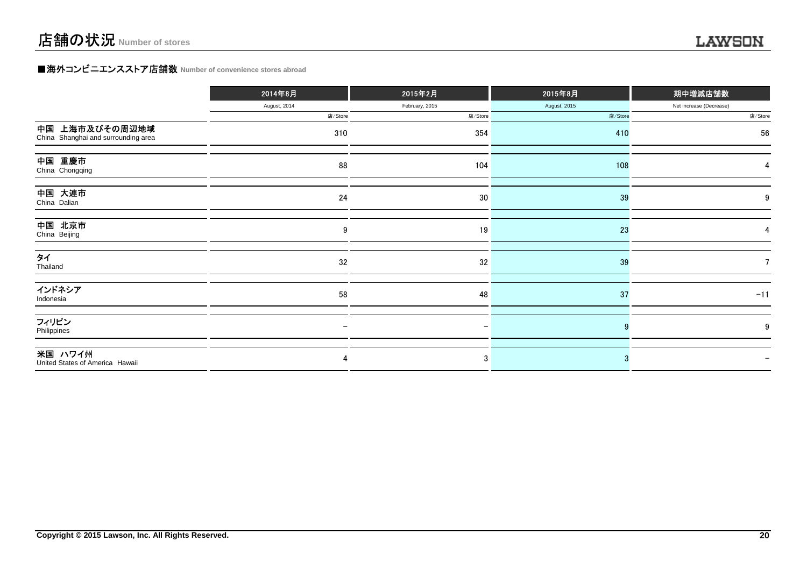## **■海外コンビニエンスストア店舗数 Number of convenience stores abroad**

|                                                       | 2014年8月      | 2015年2月        | 2015年8月      | 期中増減店舗数                 |  |
|-------------------------------------------------------|--------------|----------------|--------------|-------------------------|--|
|                                                       | August, 2014 | February, 2015 | August, 2015 | Net increase (Decrease) |  |
|                                                       | 店/Store      | 店/Store        | 店/Store      | 店/Store                 |  |
| 中国 上海市及びその周辺地域<br>China Shanghai and surrounding area | 310          | 354            | 410          | 56                      |  |
| 中国 重慶市<br>China Chongqing                             | 88           | 104            | 108          |                         |  |
| 中国 大連市<br>China Dalian                                | 24           | 30             | 39           | 9                       |  |
| 中国 北京市<br>China Beijing                               | 9            | 19             | 23           |                         |  |
| タイ<br>Thailand                                        | 32           | 32             | 39           |                         |  |
| インドネシア<br>Indonesia                                   | 58           | 48             | 37           | $-11$                   |  |
| フィリピン<br>Philippines                                  |              |                |              | 9                       |  |
| 米国 ハワイ州<br>United States of America Hawaii            | 4            | 3              |              |                         |  |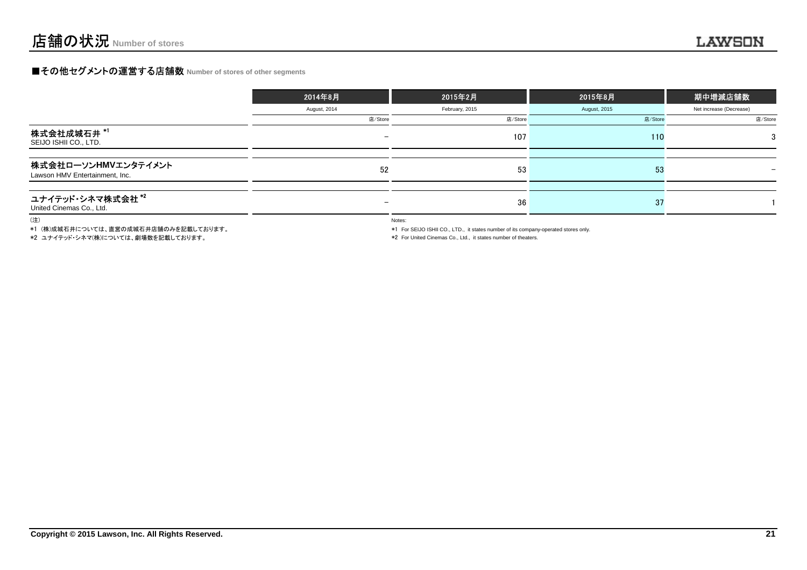## **■その他セグメントの運営する店舗数 Number of stores of other segments**

|                                                       | 2014年8月         | 2015年2月        | 2015年8月      | 期中増減店舗数                 |  |
|-------------------------------------------------------|-----------------|----------------|--------------|-------------------------|--|
|                                                       | August, 2014    | February, 2015 | August, 2015 | Net increase (Decrease) |  |
|                                                       | 店/Store         | 店/Store        | 店/Store      | 店/Store                 |  |
| 株式会社成城石井*1<br>SEIJO ISHII CO., LTD.                   |                 | 107            | 110          | 3                       |  |
| 株式会社ローソンHMVエンタテイメント<br>Lawson HMV Entertainment, Inc. | 52              | 53             | 53           |                         |  |
| ユナイテッド・シネマ株式会社*2<br>United Cinemas Co., Ltd.          | $\qquad \qquad$ | 36             | -37          |                         |  |

(注)

\*1 (株)成城石井については、直営の成城石井店舗のみを記載しております。

\*2 ユナイテッド・シネマ(株)については、劇場数を記載しております。

Notes:

\*1 For SEIJO ISHII CO., LTD., it states number of its company-operated stores only.

\*2 For United Cinemas Co., Ltd., it states number of theaters.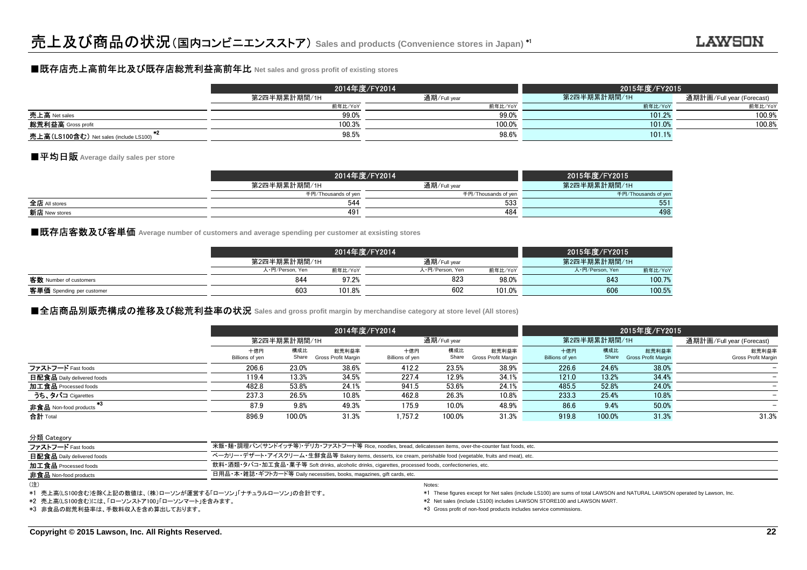## ■既存店売上高前年比及び既存店総荒利益高前年比 **Net sales and gross profit of existing stores**

|                                        |              | 2014年度/FY2014 | 2015年度/FY2015 |                           |  |  |
|----------------------------------------|--------------|---------------|---------------|---------------------------|--|--|
|                                        | 第2四半期累計期間/1H | 通期/Full year  | 第2四半期累計期間/1H  | 通期計画/Full year (Forecast) |  |  |
|                                        | 前年比/YoY      | 前年比/YoY       | 前年比/YoY       | 前年比/YoY                   |  |  |
| 売上高 Net sales                          | 99.0%        | 99.0%         | 101.2%        | 100.9%                    |  |  |
| <b>総荒利益高</b> Gross profit              | 100.3%       | 100.0%        | 101.0%        | 100.8%                    |  |  |
| 亮上高(LS100含む) Net sales (include LS100) | 98.5%        | 98.6%         | 101.1%        |                           |  |  |

## ■平均日販 **Average daily sales per store**

|               | 2014年度/FY2014       | 2015年度/FY2015       |                     |
|---------------|---------------------|---------------------|---------------------|
|               | 第2四半期累計期間/1H        | 通期/Full year        | 第2四半期累計期間/1H        |
|               | 千円/Thousands of yen | 千円/Thousands of yen | 千円/Thousands of yer |
| 全店 All stores | 544                 | 533                 | 551                 |
| 新店 New stores | 491                 | 484                 | 498                 |
|               |                     |                     |                     |

## ■既存店客数及び客単価 Average number of customers and average spending per customer at exsisting stores<br>│

|                           |                 | 2014年度/FY2014 |                 |         |                 |         |  |
|---------------------------|-----------------|---------------|-----------------|---------|-----------------|---------|--|
|                           | 第2四半期累計期間/1H    |               | 通期/Full vear    |         | 第2四半期累計期間/1H    |         |  |
|                           | 人·円/Person, Yen | 前年比/YoY       | 人·円/Person, Yen | 前年比/YoY | 人·円/Person, Yen | 前年比/YoY |  |
| 客数 Number of customers    | 844             | 97.2%         | 823             | 98.0%   | 843             | 100.7%  |  |
| 客単価 Spending per customer | 603             | 101.8%        | 602             | 101.0%  | 606             | 100.5%  |  |
|                           |                 |               |                 |         |                 |         |  |

## **■全店商品別販売構成の推移及び総荒利益率の状況 Sales** and gross profit margin by merchandise category at store level (All stores)<br>→

|                            |                        | 2014年度/FY2014 |                              |                        |              |                              |                        |              | 2015年度/FY2015                |                                     |  |  |
|----------------------------|------------------------|---------------|------------------------------|------------------------|--------------|------------------------------|------------------------|--------------|------------------------------|-------------------------------------|--|--|
|                            |                        | 第2四半期累計期間/1H  |                              |                        | 通期/Full year |                              |                        | 第2四半期累計期間/1H |                              | 通期計画/Full year (Forecast)           |  |  |
|                            | 十億円<br>Billions of yen | 構成比<br>Share  | 総荒利益率<br>Gross Profit Margin | 十億円<br>Billions of yen | 構成比<br>Share | 総荒利益率<br>Gross Profit Margin | 十億円<br>Billions of yen | 構成比<br>Share | 総荒利益率<br>Gross Profit Margin | 総荒利益率<br><b>Gross Profit Margin</b> |  |  |
| ファストフード Fast foods         | 206.6                  | 23.0%         | 38.6%                        | 412.2                  | 23.5%        | 38.9%                        | 226.6                  | 24.6%        | 38.0%                        |                                     |  |  |
| 日配食品 Daily delivered foods | 119.4                  | 13.3%         | 34.5%                        | 227.4                  | 12.9%        | 34.1%                        | 121.0                  | 13.2%        | 34.4%                        |                                     |  |  |
| 加工食品 Processed foods       | 482.8                  | 53.8%         | 24.1%                        | 941.5                  | 53.6%        | 24.1%                        | 485.5                  | 52.8%        | 24.0%                        |                                     |  |  |
| うち、タバコ Cigarettes          | 237.3                  | 26.5%         | 10.8%                        | 462.8                  | 26.3%        | 10.8%                        | 233.3                  | 25.4%        | 10.8%                        |                                     |  |  |
| 非食品 Non-food products      | 87.9                   | 9.8%          | 49.3%                        | 175.9                  | 10.0%        | 48.9%                        | 86.6                   | 9.4%         | 50.0%                        |                                     |  |  |
| 合計 Total                   | 896.9                  | 100.0%        | 31.3%                        | 1.757.2                | 100.0%       | 31.3%                        | 919.8                  | 100.0%       | 31.3%                        | 31.3%                               |  |  |

#### 分類 Category

| ファストフード Fast foods           | 米飯・麺・調理パン(サンドイッチ等)・デリカ・ファストフード等 Rice, noodles, bread, delicatessen items, over-the-counter fast foods, etc.    |
|------------------------------|----------------------------------------------------------------------------------------------------------------|
| 日配食品 Daily delivered foods   | ベーカリー・デザート・アイスクリーム・生鮮食品等 Bakery items, desserts, ice cream, perishable food (vegetable, fruits and meat), etc. |
| 加工食品 Processed foods         | 飲料・酒類・タバコ・加工食品・菓子等 Soft drinks, alcoholic drinks, cigarettes, processed foods, confectioneries, etc.           |
| <b>非食品</b> Non-food products | 日用品・本・雑誌・ギフトカード等 Daily necessities, books, magazines, gift cards, etc.                                         |
| $\cdots$                     |                                                                                                                |

<sup>(</sup>注)

\*1 売上高(LS100含む)を除く上記の数値は、(株)ローソンが運営する「ローソン」「ナチュラルローソン」の合計です。

\*2 売上高(LS100含む)には、「ローソンストア100」「ローソンマート」を含みます。

\*3 非食品の総荒利益率は、手数料収入を含め算出しております。

) and the contract of the contract of the contract of the contract of the contract of the contract of the contract of the contract of the contract of the contract of the contract of the contract of the contract of the cont

\*1 These figures except for Net sales (include LS100) are sums of total LAWSON and NATURAL LAWSON operated by Lawson, Inc.

\*2 Net sales (include LS100) includes LAWSON STORE100 and LAWSON MART.

\*3 Gross profit of non-food products includes service commissions.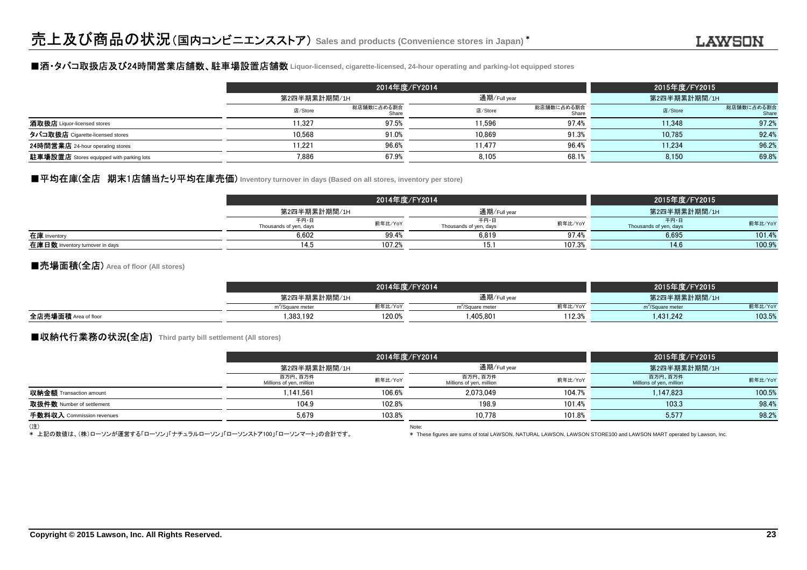### ■酒・タバコ取扱店及び24時間営業店舗数、駐車場設置店舗数 **Liquor-licensed, cigarette-licensed, 24-hour operating and parking-lot equipped stores**

|                                                 | 2014年度/FY2014 |                     |         |                     | 2015年度/FY2015 |                     |
|-------------------------------------------------|---------------|---------------------|---------|---------------------|---------------|---------------------|
|                                                 |               | 第2四半期累計期間/1H        |         | 通期/Full year        |               | 第2四半期累計期間/1H        |
|                                                 | 店/Store       | 総店舗数に占める割合<br>Share | 店/Store | 総店舗数に占める割合<br>Share | 店/Store       | 総店舗数に占める割合<br>Share |
| 酒取扱店 Liquor-licensed stores                     | 11.327        | 97.5%               | 11.596  | 97.4%               | 11.348        | 97.2%               |
| タバコ取扱店 Cigarette-licensed stores                | 10.568        | 91.0%               | 10.869  | 91.3%               | 10.785        | 92.4%               |
| 24時間営業店 24-hour operating stores                | 11.221        | 96.6%               | 11.477  | 96.4%               | 11.234        | 96.2%               |
| <b>駐車場設置店</b> Stores equipped with parking lots | 7,886         | 67.9%               | 8.105   | 68.1%               | 8.150         | 69.8%               |

### ■平均在庫(全店 期末1店舗当たり平均在庫売価) Inventory turnover in days (Based on all stores, inventory per store)

|                                 | 2014年度/FY2014                  |         |                                | 2015年度/FY2015 |                                |         |
|---------------------------------|--------------------------------|---------|--------------------------------|---------------|--------------------------------|---------|
|                                 | 第2四半期累計期間/1H                   |         | 通期/Full year                   |               | 第2四半期累計期間/1H                   |         |
|                                 | 千円・日<br>Thousands of yen, days | 前年比/YoY | 千円・日<br>Thousands of yen, days | 前年比/YoY       | 千円・日<br>Thousands of yen, days | 前年比/YoY |
| 在庫 Inventory                    | 6,602                          | 99.4%   | 6,819                          | 97.4%         | 6,695                          | 101.4%  |
| 在庫日数 Inventory turnover in days | 14.5                           | 107.2%  | 1 J.                           | 107.3%        | 14.6                           | 100.9%  |

### ■売場面積(全店) **Area of floor (All stores)**

|                      | 2014年度/FY2014                |         |                              |         | 2015年度/FY2015                |         |
|----------------------|------------------------------|---------|------------------------------|---------|------------------------------|---------|
|                      | 第2四半期累計期間/1H                 |         | 通期/Full year                 |         | 第2四半期累計期間/1H                 |         |
|                      | m <sup>2</sup> /Square meter | 前年比/YoY | m <sup>2</sup> /Square meter | 前年比/YoY | m <sup>2</sup> /Square meter | 前年比/YoY |
| 全店売場面積 Area of floor | .383.192                     | 120.0%  | 1.405.80                     | 112.3%  | 1.431.242                    | 103.5%  |
|                      |                              |         |                              |         |                              |         |

### ■収納代行業務の状況**(**全店**) Third party bill settlement (All stores)**

|                                |                                     | 2014年度/FY2014 |                                     |         | 2015年度/FY2015                       |         |
|--------------------------------|-------------------------------------|---------------|-------------------------------------|---------|-------------------------------------|---------|
|                                |                                     | 第2四半期累計期間/1H  |                                     |         | 第2四半期累計期間/1H                        |         |
|                                | 百万円、百万件<br>Millions of yen, million | 前年比/YoY       | 百万円、百万件<br>Millions of yen, million | 前年比/YoY | 百万円、百万件<br>Millions of yen, million | 前年比/YoY |
| <b>収納金額</b> Transaction amount | 1.141.561                           | 106.6%        | 2.073.049                           | 104.7%  | 1.147.823                           | 100.5%  |
| 取扱件数 Number of settlement      | 104.9                               | 102.8%        | 198.9                               | 101.4%  | 103.3                               | 98.4%   |
| 手数料収入 Commission revenues      | 5.679                               | 103.8%        | 10.778                              | 101.8%  | 5,577                               | 98.2%   |
| $\sqrt{2}$                     |                                     |               |                                     |         |                                     |         |

(注)

Note: \* 上記の数値は、(株)ローソンが運営する「ローソン」「ナチュラルローソン」「ローソンストア100」「ローソンマート」の合計です。

\* These figures are sums of total LAWSON, NATURAL LAWSON, LAWSON STORE100 and LAWSON MART operated by Lawson, Inc.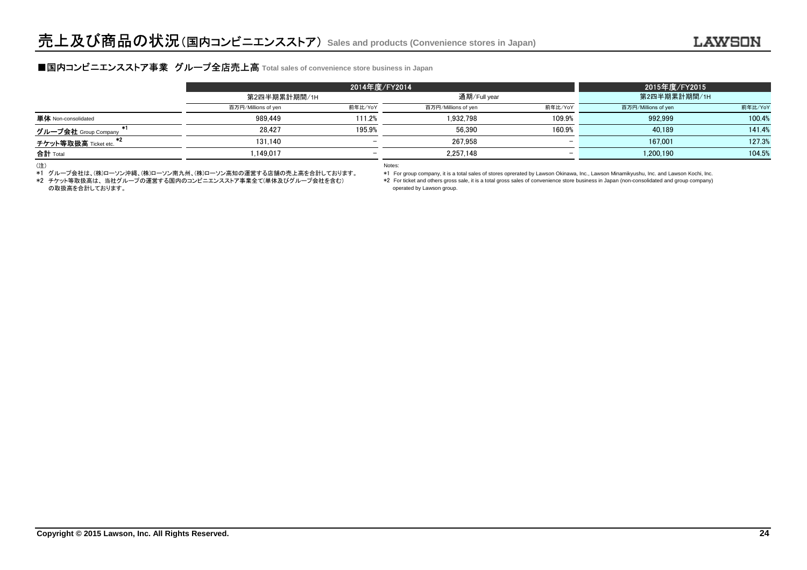## **■国内コンビニエンスストア事業 グループ全店売上高** Total sales of convenience store business in Japan<br>■

|                             | 2014年度/FY2014       |              |                     |                          | 2015年度/FY2015       |         |
|-----------------------------|---------------------|--------------|---------------------|--------------------------|---------------------|---------|
|                             |                     | 第2四半期累計期間/1H |                     |                          | 第2四半期累計期間/1H        |         |
|                             | 百万円/Millions of yen | 前年比/YoY      | 百万円/Millions of yen | 前年比/YoY                  | 百万円/Millions of yen | 前年比/YoY |
| <b>単体</b> Non-consolidated  | 989.449             | 111.2%       | 1.932.798           | 109.9%                   | 992.999             | 100.4%  |
| -81<br>グループ会社 Group Company | 28.427              | 195.9%       | 56.390              | 160.9%                   | 40.189              | 141.4%  |
| チケット等取扱高 Ticket etc.        | 131.140             | <b>_</b>     | 267.958             | $\overline{\phantom{0}}$ | 167.001             | 127.3%  |
| <b>合計</b> Total             | .149.017            | <b>_</b>     | 2.257.148           | $\overline{\phantom{0}}$ | 1.200.190           | 104.5%  |
|                             |                     |              |                     |                          |                     |         |

(注)

\*1 グループ会社は、(株)ローソン沖縄、(株)ローソン南九州、(株)ローソン高知の運営する店舗の売上高を合計しております。

の取扱高を合計しております。\*2 チケット等取扱高は、 当社グループの運営する国内のコンビニエンスストア事業全て(単体及びグループ会社を含む) Notes:

 operated by Lawson group. \*1 For group company, it is a total sales of stores oprerated by Lawson Okinawa, Inc., Lawson Minamikyushu, Inc. and Lawson Kochi, Inc. \*2 For ticket and others gross sale, it is a total gross sales of convenience store business in Japan (non-consolidated and group company)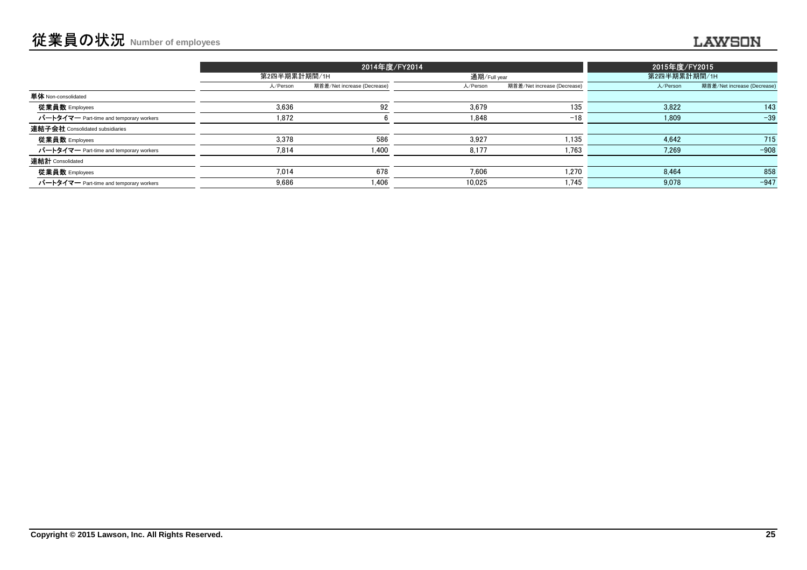### ........

|                                         |              | 2014年度/FY2014               | 2015年度/FY2015 |                             |          |                             |
|-----------------------------------------|--------------|-----------------------------|---------------|-----------------------------|----------|-----------------------------|
|                                         | 第2四半期累計期間/1H |                             |               | 通期/Full year                |          | 第2四半期累計期間/1H                |
|                                         | 人/Person     | 期首差/Net increase (Decrease) | 人/Person      | 期首差/Net increase (Decrease) | 人/Person | 期首差/Net increase (Decrease) |
| <b>単体</b> Non-consolidated              |              |                             |               |                             |          |                             |
| 従業員数 Employees                          | 3,636        | 92                          | 3,679         | 135                         | 3,822    | 143                         |
| パートタイマー Part-time and temporary workers | 1.872        |                             | 1.848         | $-18$                       | 1,809    | $-39$                       |
| 連結子会社 Consolidated subsidiaries         |              |                             |               |                             |          |                             |
| 従業員数 Employees                          | 3.378        | 586                         | 3,927         | 1,135                       | 4,642    | 715                         |
| パートタイマー Part-time and temporary workers | 7,814        | 1,400                       | 8,177         | 1,763                       | 7,269    | $-908$                      |
| 連結計 Consolidated                        |              |                             |               |                             |          |                             |
| 従業員数 Employees                          | 7.014        | 678                         | 7.606         | 1.270                       | 8.464    | 858                         |
| パートタイマー Part-time and temporary workers | 9,686        | 1,406                       | 10,025        | 1,745                       | 9,078    | $-947$                      |